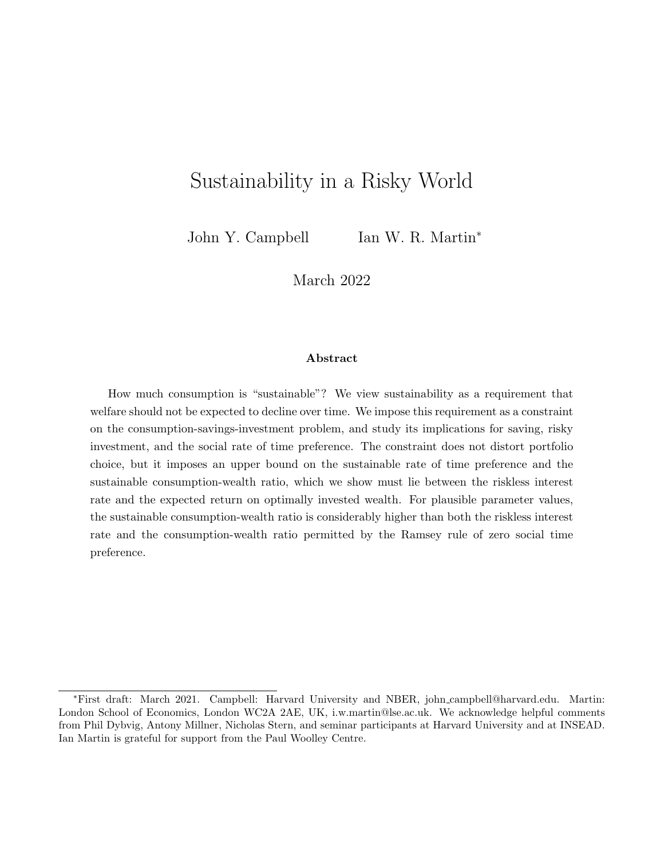# Sustainability in a Risky World

John Y. Campbell Ian W. R. Martin<sup>\*</sup>

March 2022

#### Abstract

How much consumption is "sustainable"? We view sustainability as a requirement that welfare should not be expected to decline over time. We impose this requirement as a constraint on the consumption-savings-investment problem, and study its implications for saving, risky investment, and the social rate of time preference. The constraint does not distort portfolio choice, but it imposes an upper bound on the sustainable rate of time preference and the sustainable consumption-wealth ratio, which we show must lie between the riskless interest rate and the expected return on optimally invested wealth. For plausible parameter values, the sustainable consumption-wealth ratio is considerably higher than both the riskless interest rate and the consumption-wealth ratio permitted by the Ramsey rule of zero social time preference.

<sup>∗</sup>First draft: March 2021. Campbell: Harvard University and NBER, john campbell@harvard.edu. Martin: London School of Economics, London WC2A 2AE, UK, i.w.martin@lse.ac.uk. We acknowledge helpful comments from Phil Dybvig, Antony Millner, Nicholas Stern, and seminar participants at Harvard University and at INSEAD. Ian Martin is grateful for support from the Paul Woolley Centre.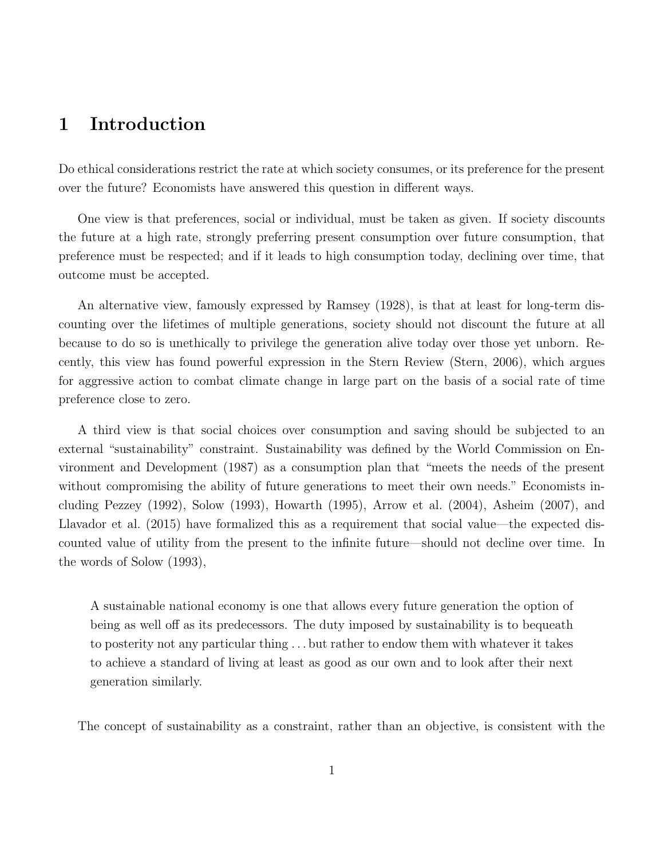## 1 Introduction

Do ethical considerations restrict the rate at which society consumes, or its preference for the present over the future? Economists have answered this question in different ways.

One view is that preferences, social or individual, must be taken as given. If society discounts the future at a high rate, strongly preferring present consumption over future consumption, that preference must be respected; and if it leads to high consumption today, declining over time, that outcome must be accepted.

An alternative view, famously expressed by Ramsey (1928), is that at least for long-term discounting over the lifetimes of multiple generations, society should not discount the future at all because to do so is unethically to privilege the generation alive today over those yet unborn. Recently, this view has found powerful expression in the Stern Review (Stern, 2006), which argues for aggressive action to combat climate change in large part on the basis of a social rate of time preference close to zero.

A third view is that social choices over consumption and saving should be subjected to an external "sustainability" constraint. Sustainability was defined by the World Commission on Environment and Development (1987) as a consumption plan that "meets the needs of the present without compromising the ability of future generations to meet their own needs." Economists including Pezzey (1992), Solow (1993), Howarth (1995), Arrow et al. (2004), Asheim (2007), and Llavador et al. (2015) have formalized this as a requirement that social value—the expected discounted value of utility from the present to the infinite future—should not decline over time. In the words of Solow (1993),

A sustainable national economy is one that allows every future generation the option of being as well off as its predecessors. The duty imposed by sustainability is to bequeath to posterity not any particular thing . . . but rather to endow them with whatever it takes to achieve a standard of living at least as good as our own and to look after their next generation similarly.

The concept of sustainability as a constraint, rather than an objective, is consistent with the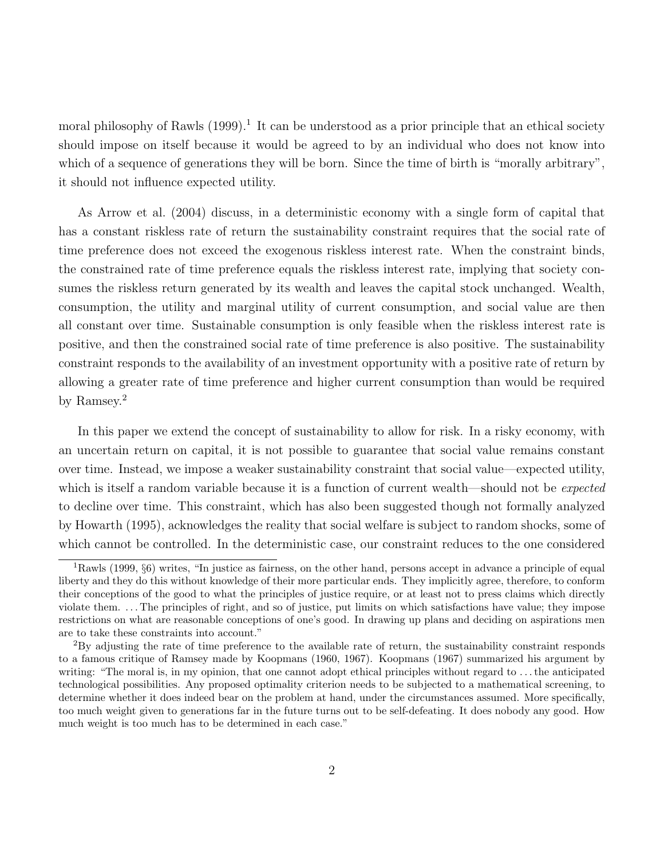moral philosophy of Rawls (1999).<sup>1</sup> It can be understood as a prior principle that an ethical society should impose on itself because it would be agreed to by an individual who does not know into which of a sequence of generations they will be born. Since the time of birth is "morally arbitrary", it should not influence expected utility.

As Arrow et al. (2004) discuss, in a deterministic economy with a single form of capital that has a constant riskless rate of return the sustainability constraint requires that the social rate of time preference does not exceed the exogenous riskless interest rate. When the constraint binds, the constrained rate of time preference equals the riskless interest rate, implying that society consumes the riskless return generated by its wealth and leaves the capital stock unchanged. Wealth, consumption, the utility and marginal utility of current consumption, and social value are then all constant over time. Sustainable consumption is only feasible when the riskless interest rate is positive, and then the constrained social rate of time preference is also positive. The sustainability constraint responds to the availability of an investment opportunity with a positive rate of return by allowing a greater rate of time preference and higher current consumption than would be required by Ramsey.<sup>2</sup>

In this paper we extend the concept of sustainability to allow for risk. In a risky economy, with an uncertain return on capital, it is not possible to guarantee that social value remains constant over time. Instead, we impose a weaker sustainability constraint that social value—expected utility, which is itself a random variable because it is a function of current wealth—should not be *expected* to decline over time. This constraint, which has also been suggested though not formally analyzed by Howarth (1995), acknowledges the reality that social welfare is subject to random shocks, some of which cannot be controlled. In the deterministic case, our constraint reduces to the one considered

<sup>1</sup>Rawls (1999, §6) writes, "In justice as fairness, on the other hand, persons accept in advance a principle of equal liberty and they do this without knowledge of their more particular ends. They implicitly agree, therefore, to conform their conceptions of the good to what the principles of justice require, or at least not to press claims which directly violate them. . . . The principles of right, and so of justice, put limits on which satisfactions have value; they impose restrictions on what are reasonable conceptions of one's good. In drawing up plans and deciding on aspirations men are to take these constraints into account."

 ${}^{2}_{2}$ By adjusting the rate of time preference to the available rate of return, the sustainability constraint responds to a famous critique of Ramsey made by Koopmans (1960, 1967). Koopmans (1967) summarized his argument by writing: "The moral is, in my opinion, that one cannot adopt ethical principles without regard to ... the anticipated technological possibilities. Any proposed optimality criterion needs to be subjected to a mathematical screening, to determine whether it does indeed bear on the problem at hand, under the circumstances assumed. More specifically, too much weight given to generations far in the future turns out to be self-defeating. It does nobody any good. How much weight is too much has to be determined in each case."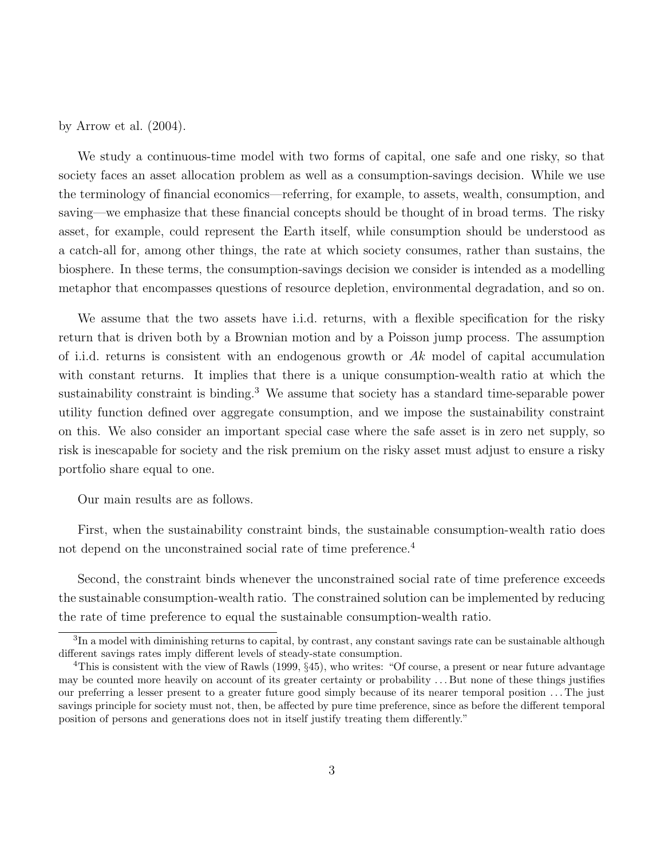by Arrow et al. (2004).

We study a continuous-time model with two forms of capital, one safe and one risky, so that society faces an asset allocation problem as well as a consumption-savings decision. While we use the terminology of financial economics—referring, for example, to assets, wealth, consumption, and saving—we emphasize that these financial concepts should be thought of in broad terms. The risky asset, for example, could represent the Earth itself, while consumption should be understood as a catch-all for, among other things, the rate at which society consumes, rather than sustains, the biosphere. In these terms, the consumption-savings decision we consider is intended as a modelling metaphor that encompasses questions of resource depletion, environmental degradation, and so on.

We assume that the two assets have i.i.d. returns, with a flexible specification for the risky return that is driven both by a Brownian motion and by a Poisson jump process. The assumption of i.i.d. returns is consistent with an endogenous growth or  $Ak$  model of capital accumulation with constant returns. It implies that there is a unique consumption-wealth ratio at which the sustainability constraint is binding.<sup>3</sup> We assume that society has a standard time-separable power utility function defined over aggregate consumption, and we impose the sustainability constraint on this. We also consider an important special case where the safe asset is in zero net supply, so risk is inescapable for society and the risk premium on the risky asset must adjust to ensure a risky portfolio share equal to one.

Our main results are as follows.

First, when the sustainability constraint binds, the sustainable consumption-wealth ratio does not depend on the unconstrained social rate of time preference.<sup>4</sup>

Second, the constraint binds whenever the unconstrained social rate of time preference exceeds the sustainable consumption-wealth ratio. The constrained solution can be implemented by reducing the rate of time preference to equal the sustainable consumption-wealth ratio.

<sup>&</sup>lt;sup>3</sup>In a model with diminishing returns to capital, by contrast, any constant savings rate can be sustainable although different savings rates imply different levels of steady-state consumption.

<sup>&</sup>lt;sup>4</sup>This is consistent with the view of Rawls (1999,  $\S 45$ ), who writes: "Of course, a present or near future advantage may be counted more heavily on account of its greater certainty or probability . . . But none of these things justifies our preferring a lesser present to a greater future good simply because of its nearer temporal position . . . The just savings principle for society must not, then, be affected by pure time preference, since as before the different temporal position of persons and generations does not in itself justify treating them differently."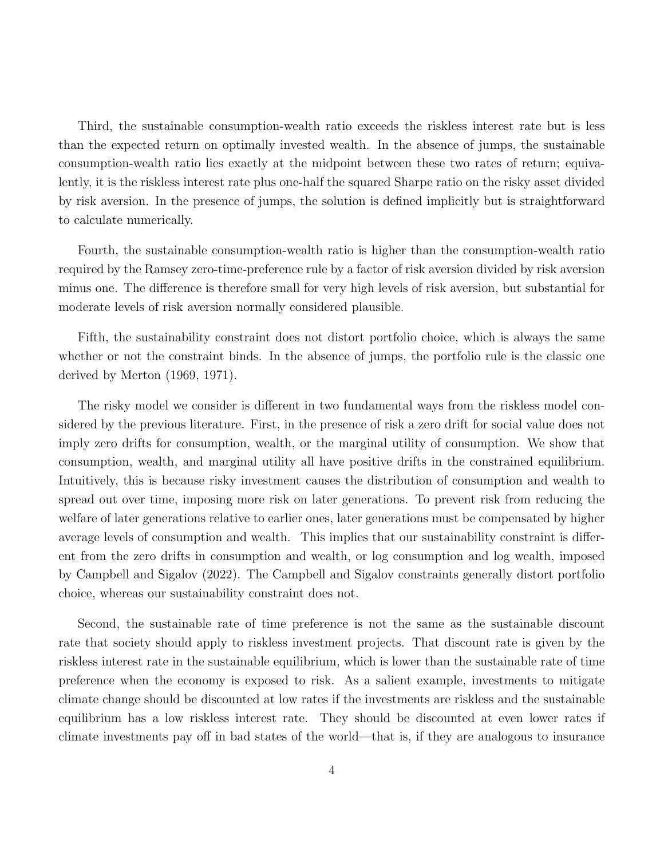Third, the sustainable consumption-wealth ratio exceeds the riskless interest rate but is less than the expected return on optimally invested wealth. In the absence of jumps, the sustainable consumption-wealth ratio lies exactly at the midpoint between these two rates of return; equivalently, it is the riskless interest rate plus one-half the squared Sharpe ratio on the risky asset divided by risk aversion. In the presence of jumps, the solution is defined implicitly but is straightforward to calculate numerically.

Fourth, the sustainable consumption-wealth ratio is higher than the consumption-wealth ratio required by the Ramsey zero-time-preference rule by a factor of risk aversion divided by risk aversion minus one. The difference is therefore small for very high levels of risk aversion, but substantial for moderate levels of risk aversion normally considered plausible.

Fifth, the sustainability constraint does not distort portfolio choice, which is always the same whether or not the constraint binds. In the absence of jumps, the portfolio rule is the classic one derived by Merton (1969, 1971).

The risky model we consider is different in two fundamental ways from the riskless model considered by the previous literature. First, in the presence of risk a zero drift for social value does not imply zero drifts for consumption, wealth, or the marginal utility of consumption. We show that consumption, wealth, and marginal utility all have positive drifts in the constrained equilibrium. Intuitively, this is because risky investment causes the distribution of consumption and wealth to spread out over time, imposing more risk on later generations. To prevent risk from reducing the welfare of later generations relative to earlier ones, later generations must be compensated by higher average levels of consumption and wealth. This implies that our sustainability constraint is different from the zero drifts in consumption and wealth, or log consumption and log wealth, imposed by Campbell and Sigalov (2022). The Campbell and Sigalov constraints generally distort portfolio choice, whereas our sustainability constraint does not.

Second, the sustainable rate of time preference is not the same as the sustainable discount rate that society should apply to riskless investment projects. That discount rate is given by the riskless interest rate in the sustainable equilibrium, which is lower than the sustainable rate of time preference when the economy is exposed to risk. As a salient example, investments to mitigate climate change should be discounted at low rates if the investments are riskless and the sustainable equilibrium has a low riskless interest rate. They should be discounted at even lower rates if climate investments pay off in bad states of the world—that is, if they are analogous to insurance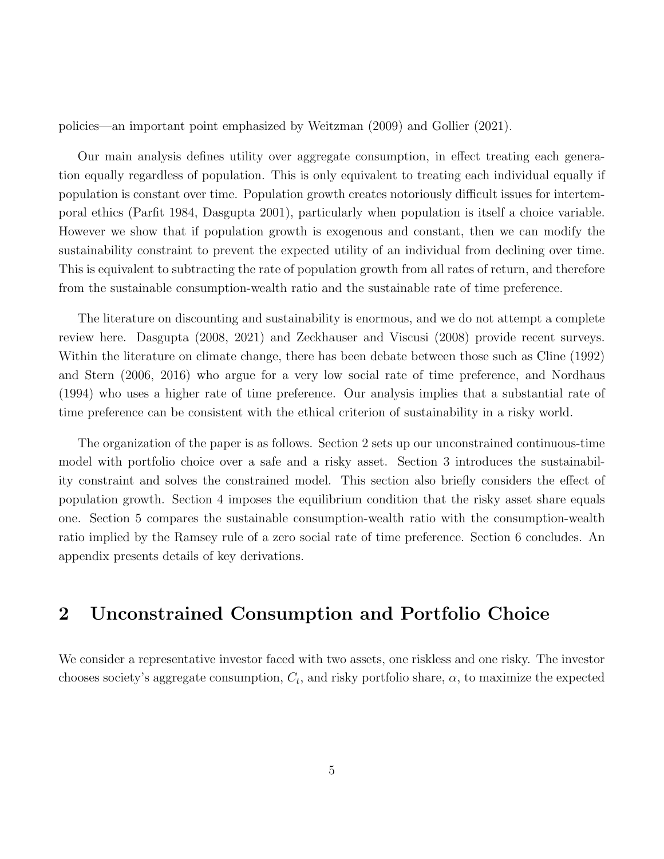policies—an important point emphasized by Weitzman (2009) and Gollier (2021).

Our main analysis defines utility over aggregate consumption, in effect treating each generation equally regardless of population. This is only equivalent to treating each individual equally if population is constant over time. Population growth creates notoriously difficult issues for intertemporal ethics (Parfit 1984, Dasgupta 2001), particularly when population is itself a choice variable. However we show that if population growth is exogenous and constant, then we can modify the sustainability constraint to prevent the expected utility of an individual from declining over time. This is equivalent to subtracting the rate of population growth from all rates of return, and therefore from the sustainable consumption-wealth ratio and the sustainable rate of time preference.

The literature on discounting and sustainability is enormous, and we do not attempt a complete review here. Dasgupta (2008, 2021) and Zeckhauser and Viscusi (2008) provide recent surveys. Within the literature on climate change, there has been debate between those such as Cline (1992) and Stern (2006, 2016) who argue for a very low social rate of time preference, and Nordhaus (1994) who uses a higher rate of time preference. Our analysis implies that a substantial rate of time preference can be consistent with the ethical criterion of sustainability in a risky world.

The organization of the paper is as follows. Section 2 sets up our unconstrained continuous-time model with portfolio choice over a safe and a risky asset. Section 3 introduces the sustainability constraint and solves the constrained model. This section also briefly considers the effect of population growth. Section 4 imposes the equilibrium condition that the risky asset share equals one. Section 5 compares the sustainable consumption-wealth ratio with the consumption-wealth ratio implied by the Ramsey rule of a zero social rate of time preference. Section 6 concludes. An appendix presents details of key derivations.

## 2 Unconstrained Consumption and Portfolio Choice

We consider a representative investor faced with two assets, one riskless and one risky. The investor chooses society's aggregate consumption,  $C_t$ , and risky portfolio share,  $\alpha$ , to maximize the expected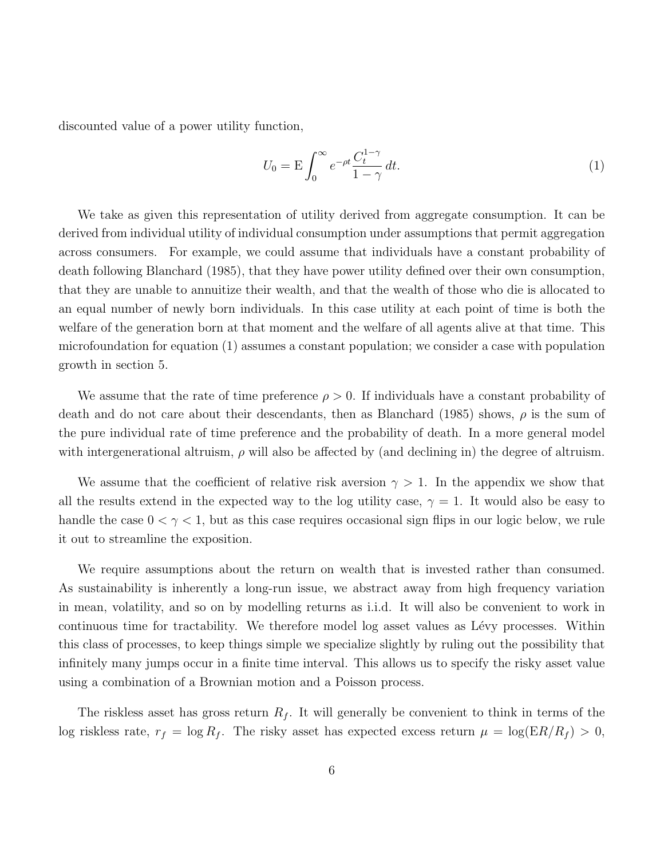discounted value of a power utility function,

$$
U_0 = \mathcal{E} \int_0^\infty e^{-\rho t} \frac{C_t^{1-\gamma}}{1-\gamma} dt.
$$
 (1)

We take as given this representation of utility derived from aggregate consumption. It can be derived from individual utility of individual consumption under assumptions that permit aggregation across consumers. For example, we could assume that individuals have a constant probability of death following Blanchard (1985), that they have power utility defined over their own consumption, that they are unable to annuitize their wealth, and that the wealth of those who die is allocated to an equal number of newly born individuals. In this case utility at each point of time is both the welfare of the generation born at that moment and the welfare of all agents alive at that time. This microfoundation for equation (1) assumes a constant population; we consider a case with population growth in section 5.

We assume that the rate of time preference  $\rho > 0$ . If individuals have a constant probability of death and do not care about their descendants, then as Blanchard (1985) shows,  $\rho$  is the sum of the pure individual rate of time preference and the probability of death. In a more general model with intergenerational altruism,  $\rho$  will also be affected by (and declining in) the degree of altruism.

We assume that the coefficient of relative risk aversion  $\gamma > 1$ . In the appendix we show that all the results extend in the expected way to the log utility case,  $\gamma = 1$ . It would also be easy to handle the case  $0 < \gamma < 1$ , but as this case requires occasional sign flips in our logic below, we rule it out to streamline the exposition.

We require assumptions about the return on wealth that is invested rather than consumed. As sustainability is inherently a long-run issue, we abstract away from high frequency variation in mean, volatility, and so on by modelling returns as i.i.d. It will also be convenient to work in continuous time for tractability. We therefore model log asset values as Lévy processes. Within this class of processes, to keep things simple we specialize slightly by ruling out the possibility that infinitely many jumps occur in a finite time interval. This allows us to specify the risky asset value using a combination of a Brownian motion and a Poisson process.

The riskless asset has gross return  $R_f$ . It will generally be convenient to think in terms of the log riskless rate,  $r_f = \log R_f$ . The risky asset has expected excess return  $\mu = \log(ER/R_f) > 0$ ,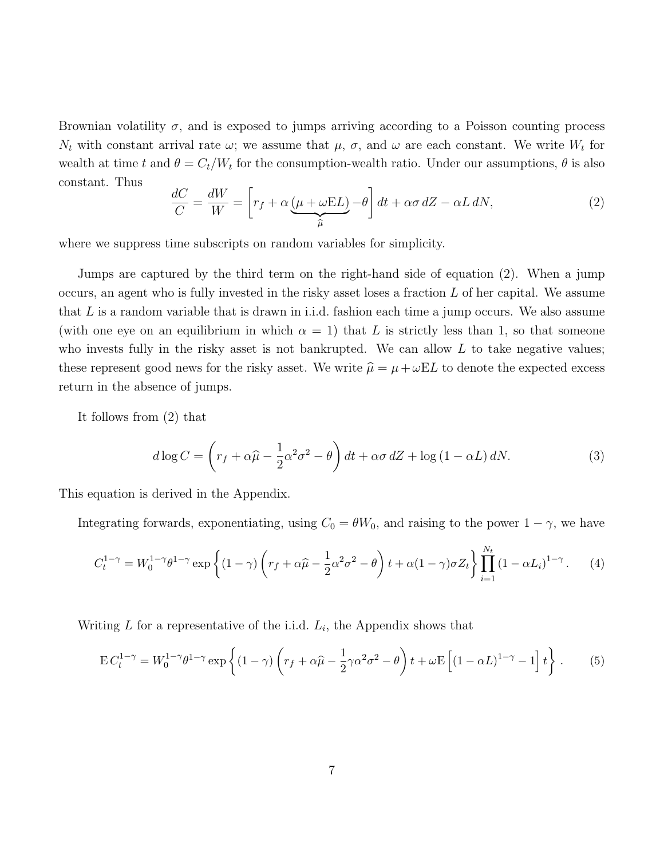Brownian volatility  $\sigma$ , and is exposed to jumps arriving according to a Poisson counting process  $N_t$  with constant arrival rate  $\omega$ ; we assume that  $\mu$ ,  $\sigma$ , and  $\omega$  are each constant. We write  $W_t$  for wealth at time t and  $\theta = C_t/W_t$  for the consumption-wealth ratio. Under our assumptions,  $\theta$  is also constant. Thus

$$
\frac{dC}{C} = \frac{dW}{W} = \left[r_f + \alpha \underbrace{(\mu + \omega EL)}_{\widehat{\mu}} - \theta\right]dt + \alpha \sigma dZ - \alpha L dN,
$$
\n(2)

where we suppress time subscripts on random variables for simplicity.

Jumps are captured by the third term on the right-hand side of equation (2). When a jump occurs, an agent who is fully invested in the risky asset loses a fraction  $L$  of her capital. We assume that  $L$  is a random variable that is drawn in i.i.d. fashion each time a jump occurs. We also assume (with one eye on an equilibrium in which  $\alpha = 1$ ) that L is strictly less than 1, so that someone who invests fully in the risky asset is not bankrupted. We can allow  $L$  to take negative values; these represent good news for the risky asset. We write  $\hat{\mu} = \mu + \omega EL$  to denote the expected excess return in the absence of jumps.

It follows from (2) that

$$
d\log C = \left(r_f + \alpha\widehat{\mu} - \frac{1}{2}\alpha^2\sigma^2 - \theta\right)dt + \alpha\sigma dZ + \log\left(1 - \alpha L\right)dN. \tag{3}
$$

This equation is derived in the Appendix.

Integrating forwards, exponentiating, using  $C_0 = \theta W_0$ , and raising to the power  $1 - \gamma$ , we have

$$
C_t^{1-\gamma} = W_0^{1-\gamma} \theta^{1-\gamma} \exp\left\{ (1-\gamma) \left( r_f + \alpha \widehat{\mu} - \frac{1}{2} \alpha^2 \sigma^2 - \theta \right) t + \alpha (1-\gamma) \sigma Z_t \right\} \prod_{i=1}^{N_t} (1 - \alpha L_i)^{1-\gamma} . \tag{4}
$$

Writing  $L$  for a representative of the i.i.d.  $L_i$ , the Appendix shows that

$$
\mathbf{E} C_t^{1-\gamma} = W_0^{1-\gamma} \theta^{1-\gamma} \exp\left\{ (1-\gamma) \left( r_f + \alpha \widehat{\mu} - \frac{1}{2} \gamma \alpha^2 \sigma^2 - \theta \right) t + \omega \mathbf{E} \left[ (1 - \alpha L)^{1-\gamma} - 1 \right] t \right\}.
$$
 (5)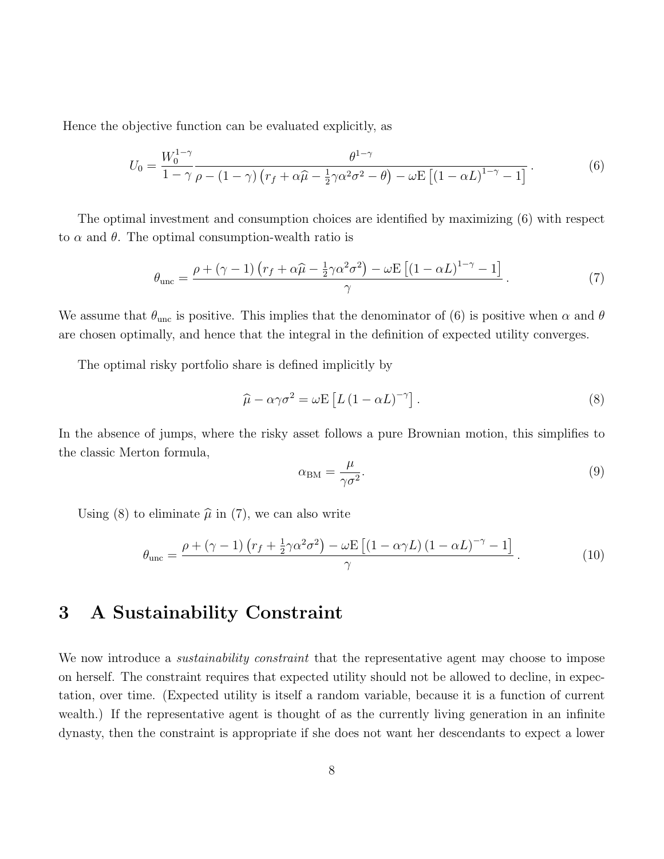Hence the objective function can be evaluated explicitly, as

$$
U_0 = \frac{W_0^{1-\gamma}}{1-\gamma} \frac{\theta^{1-\gamma}}{\rho - (1-\gamma)\left(r_f + \alpha\widehat{\mu} - \frac{1}{2}\gamma\alpha^2\sigma^2 - \theta\right) - \omega E\left[(1-\alpha L)^{1-\gamma} - 1\right]}.
$$
(6)

The optimal investment and consumption choices are identified by maximizing (6) with respect to  $\alpha$  and  $\theta$ . The optimal consumption-wealth ratio is

$$
\theta_{\rm unc} = \frac{\rho + (\gamma - 1) \left( r_f + \alpha \hat{\mu} - \frac{1}{2} \gamma \alpha^2 \sigma^2 \right) - \omega E \left[ \left( 1 - \alpha L \right)^{1 - \gamma} - 1 \right]}{\gamma} . \tag{7}
$$

We assume that  $\theta_{\text{unc}}$  is positive. This implies that the denominator of (6) is positive when  $\alpha$  and  $\theta$ are chosen optimally, and hence that the integral in the definition of expected utility converges.

The optimal risky portfolio share is defined implicitly by

$$
\hat{\mu} - \alpha \gamma \sigma^2 = \omega E \left[ L \left( 1 - \alpha L \right)^{-\gamma} \right]. \tag{8}
$$

In the absence of jumps, where the risky asset follows a pure Brownian motion, this simplifies to the classic Merton formula,

$$
\alpha_{\rm BM} = \frac{\mu}{\gamma \sigma^2}.\tag{9}
$$

Using (8) to eliminate  $\hat{\mu}$  in (7), we can also write

$$
\theta_{\rm unc} = \frac{\rho + (\gamma - 1) \left( r_f + \frac{1}{2} \gamma \alpha^2 \sigma^2 \right) - \omega \mathcal{E} \left[ \left( 1 - \alpha \gamma L \right) \left( 1 - \alpha L \right)^{-\gamma} - 1 \right]}{\gamma} . \tag{10}
$$

### 3 A Sustainability Constraint

We now introduce a *sustainability constraint* that the representative agent may choose to impose on herself. The constraint requires that expected utility should not be allowed to decline, in expectation, over time. (Expected utility is itself a random variable, because it is a function of current wealth.) If the representative agent is thought of as the currently living generation in an infinite dynasty, then the constraint is appropriate if she does not want her descendants to expect a lower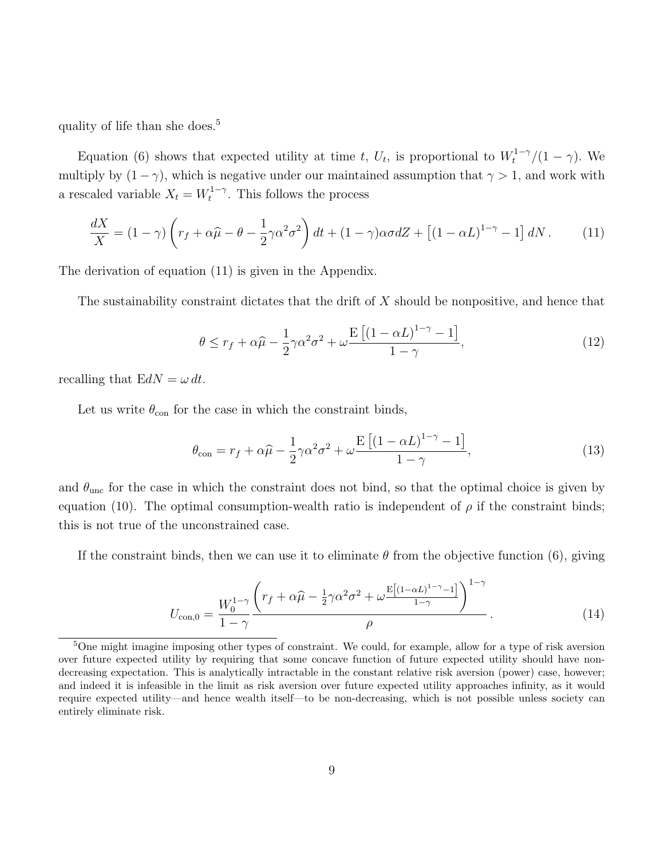quality of life than she does.<sup>5</sup>

Equation (6) shows that expected utility at time t,  $U_t$ , is proportional to  $W_t^{1-\gamma}/(1-\gamma)$ . We multiply by  $(1 - \gamma)$ , which is negative under our maintained assumption that  $\gamma > 1$ , and work with a rescaled variable  $X_t = W_t^{1-\gamma}$  $t_t^{1-\gamma}$ . This follows the process

$$
\frac{dX}{X} = (1 - \gamma) \left( r_f + \alpha \widehat{\mu} - \theta - \frac{1}{2} \gamma \alpha^2 \sigma^2 \right) dt + (1 - \gamma) \alpha \sigma dZ + \left[ (1 - \alpha L)^{1 - \gamma} - 1 \right] dN. \tag{11}
$$

The derivation of equation (11) is given in the Appendix.

The sustainability constraint dictates that the drift of  $X$  should be nonpositive, and hence that

$$
\theta \le r_f + \alpha \widehat{\mu} - \frac{1}{2} \gamma \alpha^2 \sigma^2 + \omega \frac{\mathbb{E}\left[ (1 - \alpha L)^{1 - \gamma} - 1 \right]}{1 - \gamma},\tag{12}
$$

recalling that  $EdN = \omega dt$ .

Let us write  $\theta_{\rm con}$  for the case in which the constraint binds,

$$
\theta_{\text{con}} = r_f + \alpha \widehat{\mu} - \frac{1}{2} \gamma \alpha^2 \sigma^2 + \omega \frac{\mathbb{E}\left[ (1 - \alpha L)^{1 - \gamma} - 1 \right]}{1 - \gamma},\tag{13}
$$

and  $\theta_{\text{unc}}$  for the case in which the constraint does not bind, so that the optimal choice is given by equation (10). The optimal consumption-wealth ratio is independent of  $\rho$  if the constraint binds; this is not true of the unconstrained case.

If the constraint binds, then we can use it to eliminate  $\theta$  from the objective function (6), giving

$$
U_{\text{con},0} = \frac{W_0^{1-\gamma}}{1-\gamma} \frac{\left(r_f + \alpha\widehat{\mu} - \frac{1}{2}\gamma\alpha^2\sigma^2 + \omega \frac{\text{E}[(1-\alpha L)^{1-\gamma}-1]}{1-\gamma}\right)^{1-\gamma}}{\rho}.
$$
 (14)

<sup>&</sup>lt;sup>5</sup>One might imagine imposing other types of constraint. We could, for example, allow for a type of risk aversion over future expected utility by requiring that some concave function of future expected utility should have nondecreasing expectation. This is analytically intractable in the constant relative risk aversion (power) case, however; and indeed it is infeasible in the limit as risk aversion over future expected utility approaches infinity, as it would require expected utility—and hence wealth itself—to be non-decreasing, which is not possible unless society can entirely eliminate risk.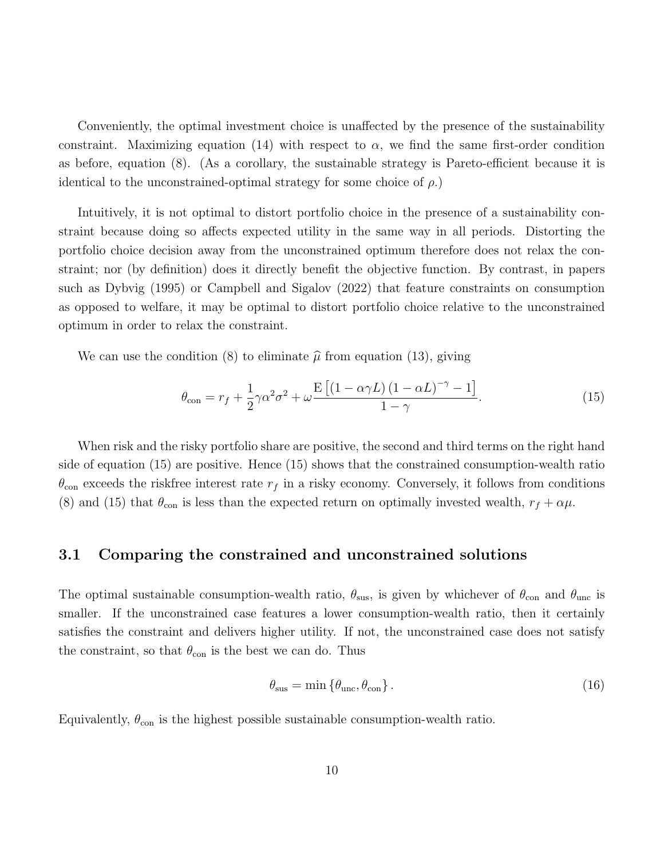Conveniently, the optimal investment choice is unaffected by the presence of the sustainability constraint. Maximizing equation (14) with respect to  $\alpha$ , we find the same first-order condition as before, equation (8). (As a corollary, the sustainable strategy is Pareto-efficient because it is identical to the unconstrained-optimal strategy for some choice of  $\rho$ .

Intuitively, it is not optimal to distort portfolio choice in the presence of a sustainability constraint because doing so affects expected utility in the same way in all periods. Distorting the portfolio choice decision away from the unconstrained optimum therefore does not relax the constraint; nor (by definition) does it directly benefit the objective function. By contrast, in papers such as Dybvig (1995) or Campbell and Sigalov (2022) that feature constraints on consumption as opposed to welfare, it may be optimal to distort portfolio choice relative to the unconstrained optimum in order to relax the constraint.

We can use the condition (8) to eliminate  $\hat{\mu}$  from equation (13), giving

$$
\theta_{\text{con}} = r_f + \frac{1}{2}\gamma\alpha^2\sigma^2 + \omega \frac{\mathcal{E}\left[\left(1 - \alpha\gamma L\right)\left(1 - \alpha L\right)^{-\gamma} - 1\right]}{1 - \gamma}.\tag{15}
$$

When risk and the risky portfolio share are positive, the second and third terms on the right hand side of equation (15) are positive. Hence (15) shows that the constrained consumption-wealth ratio  $\theta_{\rm con}$  exceeds the riskfree interest rate  $r_f$  in a risky economy. Conversely, it follows from conditions (8) and (15) that  $\theta_{\rm con}$  is less than the expected return on optimally invested wealth,  $r_f + \alpha \mu$ .

#### 3.1 Comparing the constrained and unconstrained solutions

The optimal sustainable consumption-wealth ratio,  $\theta_{\rm sus}$ , is given by whichever of  $\theta_{\rm con}$  and  $\theta_{\rm unc}$  is smaller. If the unconstrained case features a lower consumption-wealth ratio, then it certainly satisfies the constraint and delivers higher utility. If not, the unconstrained case does not satisfy the constraint, so that  $\theta_{\rm con}$  is the best we can do. Thus

$$
\theta_{\rm sus} = \min \left\{ \theta_{\rm unc}, \theta_{\rm con} \right\}.
$$
\n(16)

Equivalently,  $\theta_{\rm con}$  is the highest possible sustainable consumption-wealth ratio.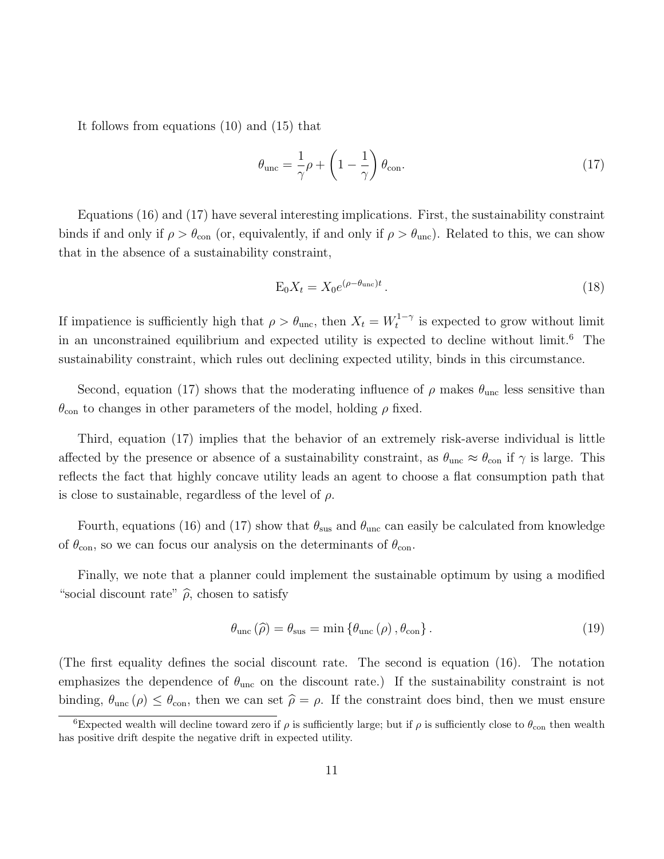It follows from equations (10) and (15) that

$$
\theta_{\rm unc} = \frac{1}{\gamma} \rho + \left(1 - \frac{1}{\gamma}\right) \theta_{\rm con}.\tag{17}
$$

Equations (16) and (17) have several interesting implications. First, the sustainability constraint binds if and only if  $\rho > \theta_{\rm con}$  (or, equivalently, if and only if  $\rho > \theta_{\rm unc}$ ). Related to this, we can show that in the absence of a sustainability constraint,

$$
E_0 X_t = X_0 e^{(\rho - \theta_{\text{unc}})t}.
$$
\n(18)

If impatience is sufficiently high that  $\rho > \theta_{\text{unc}}$ , then  $X_t = W_t^{1-\gamma}$  $t_t^{1-\gamma}$  is expected to grow without limit in an unconstrained equilibrium and expected utility is expected to decline without limit.<sup>6</sup> The sustainability constraint, which rules out declining expected utility, binds in this circumstance.

Second, equation (17) shows that the moderating influence of  $\rho$  makes  $\theta_{\text{unc}}$  less sensitive than  $\theta_{\rm con}$  to changes in other parameters of the model, holding  $\rho$  fixed.

Third, equation (17) implies that the behavior of an extremely risk-averse individual is little affected by the presence or absence of a sustainability constraint, as  $\theta_{\text{unc}} \approx \theta_{\text{con}}$  if  $\gamma$  is large. This reflects the fact that highly concave utility leads an agent to choose a flat consumption path that is close to sustainable, regardless of the level of  $\rho$ .

Fourth, equations (16) and (17) show that  $\theta_{\text{sus}}$  and  $\theta_{\text{unc}}$  can easily be calculated from knowledge of  $\theta_{\rm con}$ , so we can focus our analysis on the determinants of  $\theta_{\rm con}$ .

Finally, we note that a planner could implement the sustainable optimum by using a modified "social discount rate"  $\hat{\rho}$ , chosen to satisfy

$$
\theta_{\text{unc}}\left(\widehat{\rho}\right) = \theta_{\text{sus}} = \min\left\{\theta_{\text{unc}}\left(\rho\right), \theta_{\text{con}}\right\}.
$$
\n(19)

(The first equality defines the social discount rate. The second is equation (16). The notation emphasizes the dependence of  $\theta_{\text{unc}}$  on the discount rate.) If the sustainability constraint is not binding,  $\theta_{\text{unc}}(\rho) \leq \theta_{\text{con}}$ , then we can set  $\hat{\rho} = \rho$ . If the constraint does bind, then we must ensure

<sup>&</sup>lt;sup>6</sup>Expected wealth will decline toward zero if  $\rho$  is sufficiently large; but if  $\rho$  is sufficiently close to  $\theta_{\rm con}$  then wealth has positive drift despite the negative drift in expected utility.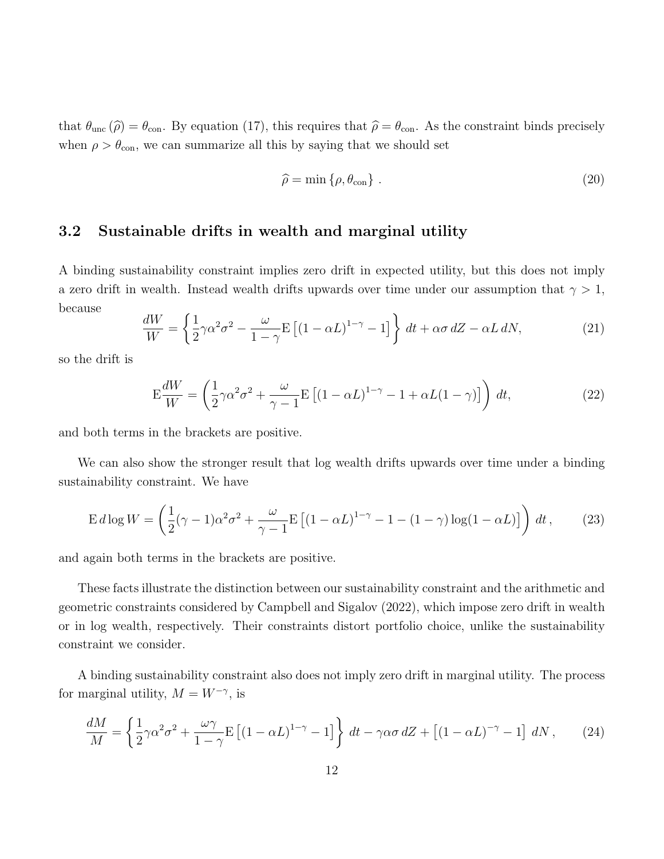that  $\theta_{\text{unc}}(\hat{\rho}) = \theta_{\text{con}}$ . By equation (17), this requires that  $\hat{\rho} = \theta_{\text{con}}$ . As the constraint binds precisely when  $\rho > \theta_{\text{con}}$ , we can summarize all this by saying that we should set

$$
\widehat{\rho} = \min \{ \rho, \theta_{\text{con}} \} . \tag{20}
$$

### 3.2 Sustainable drifts in wealth and marginal utility

A binding sustainability constraint implies zero drift in expected utility, but this does not imply a zero drift in wealth. Instead wealth drifts upwards over time under our assumption that  $\gamma > 1$ , because

$$
\frac{dW}{W} = \left\{ \frac{1}{2}\gamma\alpha^2\sigma^2 - \frac{\omega}{1-\gamma}E\left[ (1-\alpha L)^{1-\gamma} - 1 \right] \right\} dt + \alpha\sigma dZ - \alpha L dN, \tag{21}
$$

so the drift is

$$
E\frac{dW}{W} = \left(\frac{1}{2}\gamma\alpha^2\sigma^2 + \frac{\omega}{\gamma - 1}E\left[(1 - \alpha L)^{1 - \gamma} - 1 + \alpha L(1 - \gamma)\right]\right)dt,\tag{22}
$$

and both terms in the brackets are positive.

We can also show the stronger result that log wealth drifts upwards over time under a binding sustainability constraint. We have

$$
\operatorname{E} d \log W = \left(\frac{1}{2}(\gamma - 1)\alpha^2 \sigma^2 + \frac{\omega}{\gamma - 1} \operatorname{E}\left[ (1 - \alpha L)^{1 - \gamma} - 1 - (1 - \gamma) \log(1 - \alpha L) \right] \right) dt, \tag{23}
$$

and again both terms in the brackets are positive.

These facts illustrate the distinction between our sustainability constraint and the arithmetic and geometric constraints considered by Campbell and Sigalov (2022), which impose zero drift in wealth or in log wealth, respectively. Their constraints distort portfolio choice, unlike the sustainability constraint we consider.

A binding sustainability constraint also does not imply zero drift in marginal utility. The process for marginal utility,  $M = W^{-\gamma}$ , is

$$
\frac{dM}{M} = \left\{ \frac{1}{2}\gamma\alpha^2\sigma^2 + \frac{\omega\gamma}{1-\gamma}E\left[ (1-\alpha L)^{1-\gamma} - 1 \right] \right\} dt - \gamma\alpha\sigma dZ + \left[ (1-\alpha L)^{-\gamma} - 1 \right] dN, \tag{24}
$$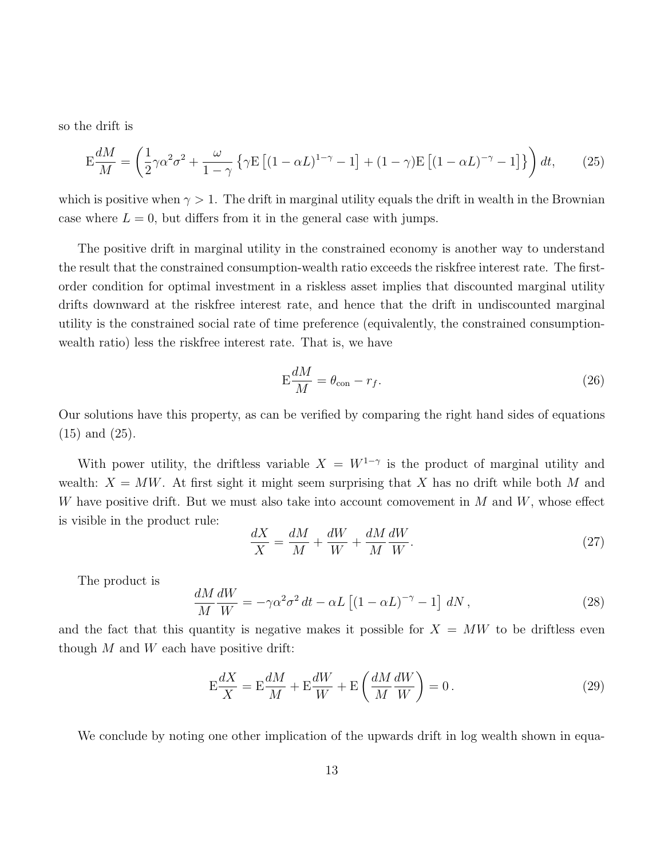so the drift is

$$
E\frac{dM}{M} = \left(\frac{1}{2}\gamma\alpha^2\sigma^2 + \frac{\omega}{1-\gamma}\left\{\gamma E\left[(1-\alpha L)^{1-\gamma} - 1\right] + (1-\gamma)E\left[(1-\alpha L)^{-\gamma} - 1\right]\right\}\right)dt,\tag{25}
$$

which is positive when  $\gamma > 1$ . The drift in marginal utility equals the drift in wealth in the Brownian case where  $L = 0$ , but differs from it in the general case with jumps.

The positive drift in marginal utility in the constrained economy is another way to understand the result that the constrained consumption-wealth ratio exceeds the riskfree interest rate. The firstorder condition for optimal investment in a riskless asset implies that discounted marginal utility drifts downward at the riskfree interest rate, and hence that the drift in undiscounted marginal utility is the constrained social rate of time preference (equivalently, the constrained consumptionwealth ratio) less the riskfree interest rate. That is, we have

$$
E\frac{dM}{M} = \theta_{\rm con} - r_f.
$$
\n(26)

Our solutions have this property, as can be verified by comparing the right hand sides of equations (15) and (25).

With power utility, the driftless variable  $X = W^{1-\gamma}$  is the product of marginal utility and wealth:  $X = MW$ . At first sight it might seem surprising that X has no drift while both M and W have positive drift. But we must also take into account comovement in  $M$  and  $W$ , whose effect is visible in the product rule:

$$
\frac{dX}{X} = \frac{dM}{M} + \frac{dW}{W} + \frac{dM}{M}\frac{dW}{W}.\tag{27}
$$

The product is

$$
\frac{dM}{M}\frac{dW}{W} = -\gamma\alpha^2\sigma^2 dt - \alpha L\left[ (1 - \alpha L)^{-\gamma} - 1 \right] dN, \qquad (28)
$$

and the fact that this quantity is negative makes it possible for  $X = MW$  to be driftless even though  $M$  and  $W$  each have positive drift:

$$
E\frac{dX}{X} = E\frac{dM}{M} + E\frac{dW}{W} + E\left(\frac{dM}{M}\frac{dW}{W}\right) = 0.
$$
\n(29)

We conclude by noting one other implication of the upwards drift in log wealth shown in equa-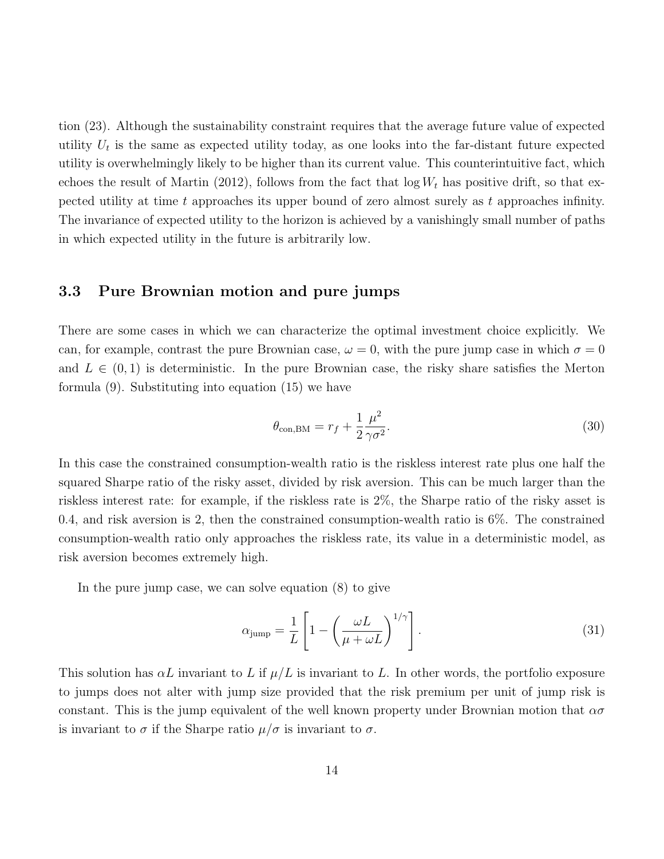tion (23). Although the sustainability constraint requires that the average future value of expected utility  $U_t$  is the same as expected utility today, as one looks into the far-distant future expected utility is overwhelmingly likely to be higher than its current value. This counterintuitive fact, which echoes the result of Martin (2012), follows from the fact that  $\log W_t$  has positive drift, so that expected utility at time t approaches its upper bound of zero almost surely as t approaches infinity. The invariance of expected utility to the horizon is achieved by a vanishingly small number of paths in which expected utility in the future is arbitrarily low.

### 3.3 Pure Brownian motion and pure jumps

There are some cases in which we can characterize the optimal investment choice explicitly. We can, for example, contrast the pure Brownian case,  $\omega = 0$ , with the pure jump case in which  $\sigma = 0$ and  $L \in (0, 1)$  is deterministic. In the pure Brownian case, the risky share satisfies the Merton formula (9). Substituting into equation (15) we have

$$
\theta_{\text{con,BM}} = r_f + \frac{1}{2} \frac{\mu^2}{\gamma \sigma^2}.
$$
\n(30)

In this case the constrained consumption-wealth ratio is the riskless interest rate plus one half the squared Sharpe ratio of the risky asset, divided by risk aversion. This can be much larger than the riskless interest rate: for example, if the riskless rate is 2%, the Sharpe ratio of the risky asset is 0.4, and risk aversion is 2, then the constrained consumption-wealth ratio is 6%. The constrained consumption-wealth ratio only approaches the riskless rate, its value in a deterministic model, as risk aversion becomes extremely high.

In the pure jump case, we can solve equation (8) to give

$$
\alpha_{\text{jump}} = \frac{1}{L} \left[ 1 - \left( \frac{\omega L}{\mu + \omega L} \right)^{1/\gamma} \right]. \tag{31}
$$

This solution has  $\alpha L$  invariant to L if  $\mu/L$  is invariant to L. In other words, the portfolio exposure to jumps does not alter with jump size provided that the risk premium per unit of jump risk is constant. This is the jump equivalent of the well known property under Brownian motion that  $\alpha\sigma$ is invariant to  $\sigma$  if the Sharpe ratio  $\mu/\sigma$  is invariant to  $\sigma$ .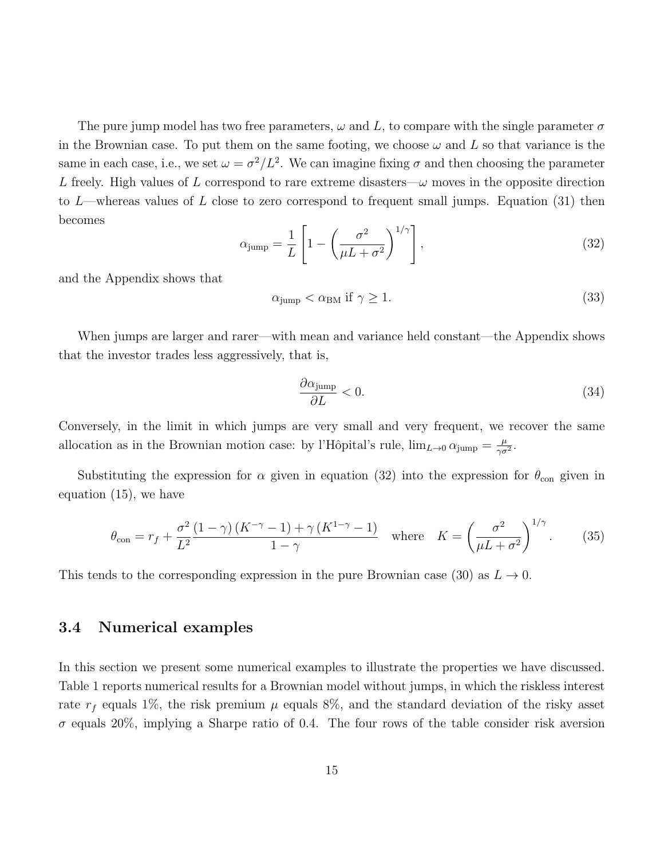The pure jump model has two free parameters,  $\omega$  and L, to compare with the single parameter  $\sigma$ in the Brownian case. To put them on the same footing, we choose  $\omega$  and L so that variance is the same in each case, i.e., we set  $\omega = \sigma^2/L^2$ . We can imagine fixing  $\sigma$  and then choosing the parameter L freely. High values of L correspond to rare extreme disasters— $\omega$  moves in the opposite direction to  $L$ —whereas values of L close to zero correspond to frequent small jumps. Equation (31) then becomes

$$
\alpha_{\text{jump}} = \frac{1}{L} \left[ 1 - \left( \frac{\sigma^2}{\mu L + \sigma^2} \right)^{1/\gamma} \right],\tag{32}
$$

and the Appendix shows that

$$
\alpha_{\text{jump}} < \alpha_{\text{BM}} \text{ if } \gamma \ge 1. \tag{33}
$$

When jumps are larger and rarer—with mean and variance held constant—the Appendix shows that the investor trades less aggressively, that is,

$$
\frac{\partial \alpha_{\text{jump}}}{\partial L} < 0. \tag{34}
$$

Conversely, in the limit in which jumps are very small and very frequent, we recover the same allocation as in the Brownian motion case: by l'Hôpital's rule,  $\lim_{L\to 0} \alpha_{\text{jump}} = \frac{\mu}{\gamma \sigma}$  $\frac{\mu}{\gamma \sigma^2}$ .

Substituting the expression for  $\alpha$  given in equation (32) into the expression for  $\theta_{\rm con}$  given in equation (15), we have

$$
\theta_{\text{con}} = r_f + \frac{\sigma^2}{L^2} \frac{(1-\gamma)(K^{-\gamma}-1) + \gamma(K^{1-\gamma}-1)}{1-\gamma} \quad \text{where} \quad K = \left(\frac{\sigma^2}{\mu L + \sigma^2}\right)^{1/\gamma}.\tag{35}
$$

This tends to the corresponding expression in the pure Brownian case (30) as  $L \rightarrow 0$ .

### 3.4 Numerical examples

In this section we present some numerical examples to illustrate the properties we have discussed. Table 1 reports numerical results for a Brownian model without jumps, in which the riskless interest rate  $r_f$  equals 1%, the risk premium  $\mu$  equals 8%, and the standard deviation of the risky asset  $\sigma$  equals 20%, implying a Sharpe ratio of 0.4. The four rows of the table consider risk aversion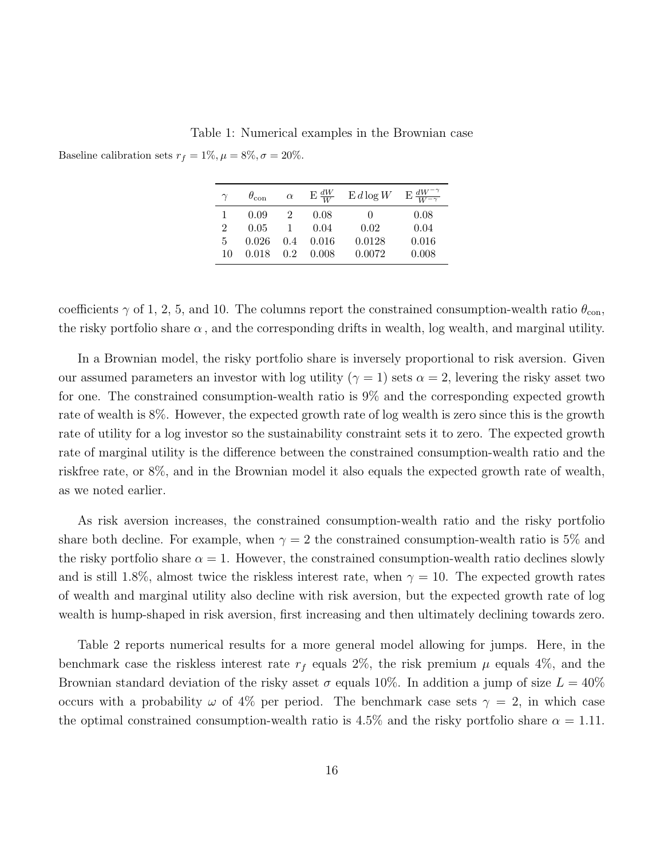Table 1: Numerical examples in the Brownian case

Baseline calibration sets  $r_f = 1\%, \mu = 8\%, \sigma = 20\%.$ 

|    | $\theta_{\rm con}$ | $\alpha$ | $E \frac{dW}{W}$ | $E d \log W$ | $E \frac{dW^{-\gamma}}{W^{-\gamma}}$ |
|----|--------------------|----------|------------------|--------------|--------------------------------------|
|    | 0.09               |          | 0.08             | $\mathbf{0}$ | 0.08                                 |
| 2  | 0.05               |          | 0.04             | 0.02         | 0.04                                 |
| 5  | 0.026              | 0.4      | 0.016            | 0.0128       | 0.016                                |
| 10 | 0.018              | 02       | 0.008            | 0.0072       | 0.008                                |

coefficients  $\gamma$  of 1, 2, 5, and 10. The columns report the constrained consumption-wealth ratio  $\theta_{\rm con}$ , the risky portfolio share  $\alpha$ , and the corresponding drifts in wealth, log wealth, and marginal utility.

In a Brownian model, the risky portfolio share is inversely proportional to risk aversion. Given our assumed parameters an investor with log utility ( $\gamma = 1$ ) sets  $\alpha = 2$ , levering the risky asset two for one. The constrained consumption-wealth ratio is 9% and the corresponding expected growth rate of wealth is 8%. However, the expected growth rate of log wealth is zero since this is the growth rate of utility for a log investor so the sustainability constraint sets it to zero. The expected growth rate of marginal utility is the difference between the constrained consumption-wealth ratio and the riskfree rate, or 8%, and in the Brownian model it also equals the expected growth rate of wealth, as we noted earlier.

As risk aversion increases, the constrained consumption-wealth ratio and the risky portfolio share both decline. For example, when  $\gamma = 2$  the constrained consumption-wealth ratio is 5% and the risky portfolio share  $\alpha = 1$ . However, the constrained consumption-wealth ratio declines slowly and is still 1.8%, almost twice the riskless interest rate, when  $\gamma = 10$ . The expected growth rates of wealth and marginal utility also decline with risk aversion, but the expected growth rate of log wealth is hump-shaped in risk aversion, first increasing and then ultimately declining towards zero.

Table 2 reports numerical results for a more general model allowing for jumps. Here, in the benchmark case the riskless interest rate  $r_f$  equals 2%, the risk premium  $\mu$  equals 4%, and the Brownian standard deviation of the risky asset  $\sigma$  equals 10%. In addition a jump of size  $L = 40\%$ occurs with a probability  $\omega$  of 4% per period. The benchmark case sets  $\gamma = 2$ , in which case the optimal constrained consumption-wealth ratio is 4.5% and the risky portfolio share  $\alpha = 1.11$ .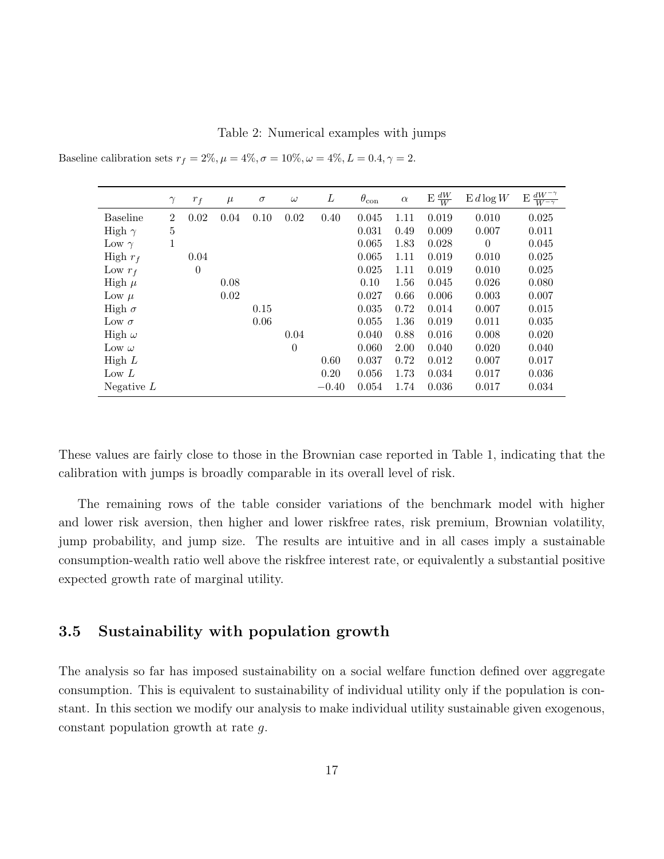Table 2: Numerical examples with jumps

|                 | $\gamma$       | $r_f$          | $\mu$ | $\sigma$ | $\omega$ | L       | $\theta_{\rm con}$ | $\alpha$ | $\frac{dW}{W}$<br>E | $E d \log W$ | $dW^{-\gamma}$<br>Ε<br>$W^{-\gamma}$ |
|-----------------|----------------|----------------|-------|----------|----------|---------|--------------------|----------|---------------------|--------------|--------------------------------------|
| <b>Baseline</b> | $\overline{2}$ | 0.02           | 0.04  | 0.10     | 0.02     | 0.40    | 0.045              | 1.11     | 0.019               | 0.010        | 0.025                                |
| High $\gamma$   | $\overline{5}$ |                |       |          |          |         | 0.031              | 0.49     | 0.009               | 0.007        | 0.011                                |
| Low $\gamma$    | 1              |                |       |          |          |         | 0.065              | 1.83     | 0.028               | $\theta$     | 0.045                                |
| High $r_f$      |                | 0.04           |       |          |          |         | 0.065              | 1.11     | 0.019               | 0.010        | 0.025                                |
| Low $r_f$       |                | $\overline{0}$ |       |          |          |         | 0.025              | 1.11     | 0.019               | 0.010        | 0.025                                |
| High $\mu$      |                |                | 0.08  |          |          |         | 0.10               | 1.56     | 0.045               | 0.026        | 0.080                                |
| Low $\mu$       |                |                | 0.02  |          |          |         | 0.027              | 0.66     | 0.006               | 0.003        | 0.007                                |
| High $\sigma$   |                |                |       | 0.15     |          |         | 0.035              | 0.72     | 0.014               | 0.007        | 0.015                                |
| Low $\sigma$    |                |                |       | 0.06     |          |         | 0.055              | 1.36     | 0.019               | 0.011        | 0.035                                |
| High $\omega$   |                |                |       |          | 0.04     |         | 0.040              | 0.88     | 0.016               | 0.008        | 0.020                                |
| Low $\omega$    |                |                |       |          | $\theta$ |         | 0.060              | 2.00     | 0.040               | 0.020        | 0.040                                |
| High $L$        |                |                |       |          |          | 0.60    | 0.037              | 0.72     | 0.012               | 0.007        | 0.017                                |
| Low $L$         |                |                |       |          |          | 0.20    | 0.056              | 1.73     | 0.034               | 0.017        | 0.036                                |
| Negative $L$    |                |                |       |          |          | $-0.40$ | 0.054              | 1.74     | 0.036               | 0.017        | 0.034                                |

Baseline calibration sets  $r_f = 2\%, \mu = 4\%, \sigma = 10\%, \omega = 4\%, L = 0.4, \gamma = 2$ .

These values are fairly close to those in the Brownian case reported in Table 1, indicating that the calibration with jumps is broadly comparable in its overall level of risk.

The remaining rows of the table consider variations of the benchmark model with higher and lower risk aversion, then higher and lower riskfree rates, risk premium, Brownian volatility, jump probability, and jump size. The results are intuitive and in all cases imply a sustainable consumption-wealth ratio well above the riskfree interest rate, or equivalently a substantial positive expected growth rate of marginal utility.

### 3.5 Sustainability with population growth

The analysis so far has imposed sustainability on a social welfare function defined over aggregate consumption. This is equivalent to sustainability of individual utility only if the population is constant. In this section we modify our analysis to make individual utility sustainable given exogenous, constant population growth at rate g.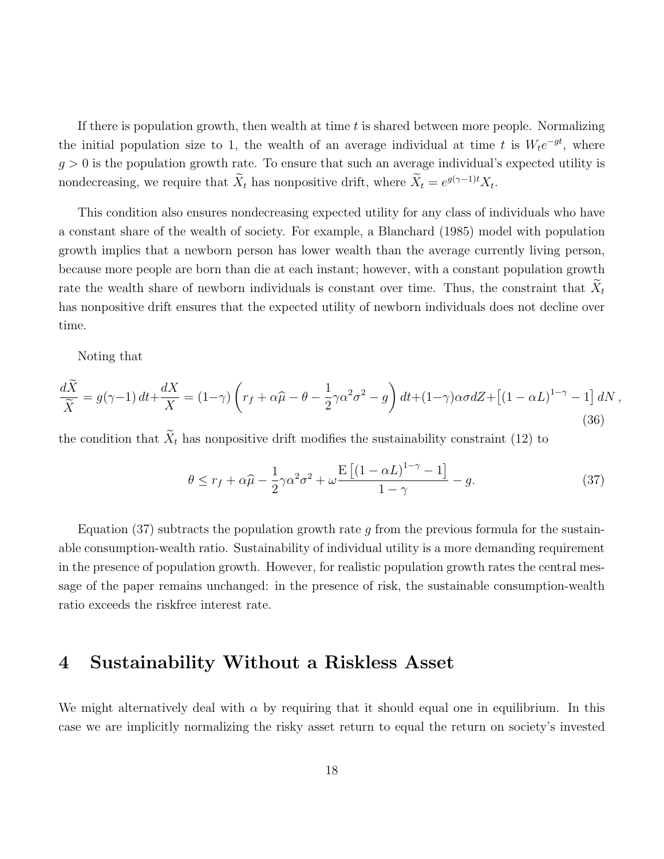If there is population growth, then wealth at time  $t$  is shared between more people. Normalizing the initial population size to 1, the wealth of an average individual at time t is  $W_t e^{-gt}$ , where  $g > 0$  is the population growth rate. To ensure that such an average individual's expected utility is nondecreasing, we require that  $\tilde{X}_t$  has nonpositive drift, where  $\tilde{X}_t = e^{g(\gamma - 1)t} X_t$ .

This condition also ensures nondecreasing expected utility for any class of individuals who have a constant share of the wealth of society. For example, a Blanchard (1985) model with population growth implies that a newborn person has lower wealth than the average currently living person, because more people are born than die at each instant; however, with a constant population growth rate the wealth share of newborn individuals is constant over time. Thus, the constraint that  $\tilde{X}_t$ has nonpositive drift ensures that the expected utility of newborn individuals does not decline over time.

Noting that

$$
\frac{d\widetilde{X}}{\widetilde{X}} = g(\gamma - 1) dt + \frac{dX}{X} = (1 - \gamma) \left( r_f + \alpha \widehat{\mu} - \theta - \frac{1}{2} \gamma \alpha^2 \sigma^2 - g \right) dt + (1 - \gamma) \alpha \sigma dZ + \left[ (1 - \alpha L)^{1 - \gamma} - 1 \right] dN ,
$$
\n(36)

the condition that  $\widetilde{X}_t$  has nonpositive drift modifies the sustainability constraint (12) to

$$
\theta \le r_f + \alpha \widehat{\mu} - \frac{1}{2} \gamma \alpha^2 \sigma^2 + \omega \frac{\mathbb{E}\left[ (1 - \alpha L)^{1 - \gamma} - 1 \right]}{1 - \gamma} - g. \tag{37}
$$

Equation (37) subtracts the population growth rate g from the previous formula for the sustainable consumption-wealth ratio. Sustainability of individual utility is a more demanding requirement in the presence of population growth. However, for realistic population growth rates the central message of the paper remains unchanged: in the presence of risk, the sustainable consumption-wealth ratio exceeds the riskfree interest rate.

### 4 Sustainability Without a Riskless Asset

We might alternatively deal with  $\alpha$  by requiring that it should equal one in equilibrium. In this case we are implicitly normalizing the risky asset return to equal the return on society's invested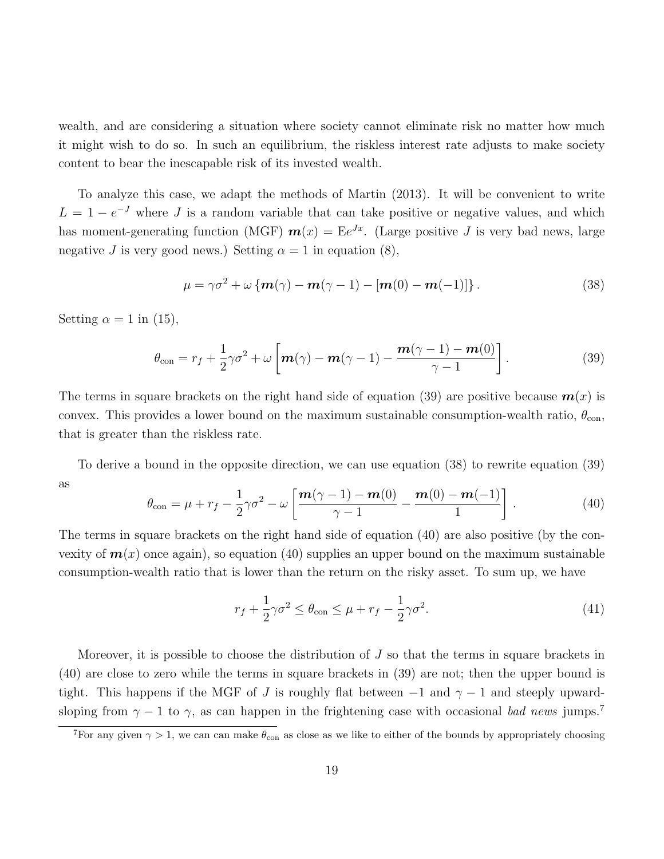wealth, and are considering a situation where society cannot eliminate risk no matter how much it might wish to do so. In such an equilibrium, the riskless interest rate adjusts to make society content to bear the inescapable risk of its invested wealth.

To analyze this case, we adapt the methods of Martin (2013). It will be convenient to write  $L = 1 - e^{-J}$  where J is a random variable that can take positive or negative values, and which has moment-generating function (MGF)  $\boldsymbol{m}(x) = \mathbb{E}e^{Jx}$ . (Large positive J is very bad news, large negative J is very good news.) Setting  $\alpha = 1$  in equation (8),

$$
\mu = \gamma \sigma^2 + \omega \left\{ \mathbf{m}(\gamma) - \mathbf{m}(\gamma - 1) - \left[ \mathbf{m}(0) - \mathbf{m}(-1) \right] \right\}.
$$
 (38)

Setting  $\alpha = 1$  in (15),

$$
\theta_{\text{con}} = r_f + \frac{1}{2}\gamma\sigma^2 + \omega \left[ \boldsymbol{m}(\gamma) - \boldsymbol{m}(\gamma - 1) - \frac{\boldsymbol{m}(\gamma - 1) - \boldsymbol{m}(0)}{\gamma - 1} \right]. \tag{39}
$$

The terms in square brackets on the right hand side of equation (39) are positive because  $m(x)$  is convex. This provides a lower bound on the maximum sustainable consumption-wealth ratio,  $\theta_{\rm con}$ , that is greater than the riskless rate.

To derive a bound in the opposite direction, we can use equation (38) to rewrite equation (39) as  $\overline{1}$   $\overline{1}$   $\overline{0}$ 

$$
\theta_{\text{con}} = \mu + r_f - \frac{1}{2}\gamma\sigma^2 - \omega \left[ \frac{\boldsymbol{m}(\gamma - 1) - \boldsymbol{m}(0)}{\gamma - 1} - \frac{\boldsymbol{m}(0) - \boldsymbol{m}(-1)}{1} \right]. \tag{40}
$$

The terms in square brackets on the right hand side of equation (40) are also positive (by the convexity of  $\mathbf{m}(x)$  once again), so equation (40) supplies an upper bound on the maximum sustainable consumption-wealth ratio that is lower than the return on the risky asset. To sum up, we have

$$
r_f + \frac{1}{2}\gamma\sigma^2 \le \theta_{\rm con} \le \mu + r_f - \frac{1}{2}\gamma\sigma^2. \tag{41}
$$

Moreover, it is possible to choose the distribution of  $J$  so that the terms in square brackets in (40) are close to zero while the terms in square brackets in (39) are not; then the upper bound is tight. This happens if the MGF of J is roughly flat between  $-1$  and  $\gamma - 1$  and steeply upwardsloping from  $\gamma - 1$  to  $\gamma$ , as can happen in the frightening case with occasional bad news jumps.<sup>7</sup>

<sup>&</sup>lt;sup>7</sup>For any given  $\gamma > 1$ , we can can make  $\theta_{\rm con}$  as close as we like to either of the bounds by appropriately choosing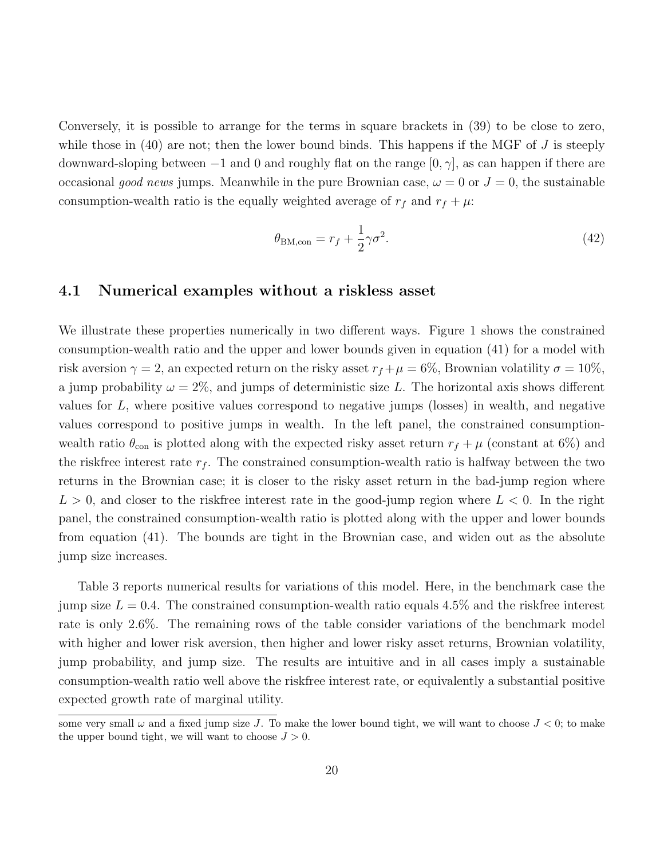Conversely, it is possible to arrange for the terms in square brackets in (39) to be close to zero, while those in  $(40)$  are not; then the lower bound binds. This happens if the MGF of J is steeply downward-sloping between  $-1$  and 0 and roughly flat on the range  $[0, \gamma]$ , as can happen if there are occasional good news jumps. Meanwhile in the pure Brownian case,  $\omega = 0$  or  $J = 0$ , the sustainable consumption-wealth ratio is the equally weighted average of  $r_f$  and  $r_f + \mu$ :

$$
\theta_{\text{BM,con}} = r_f + \frac{1}{2}\gamma\sigma^2. \tag{42}
$$

#### 4.1 Numerical examples without a riskless asset

We illustrate these properties numerically in two different ways. Figure 1 shows the constrained consumption-wealth ratio and the upper and lower bounds given in equation (41) for a model with risk aversion  $\gamma = 2$ , an expected return on the risky asset  $r_f + \mu = 6\%$ , Brownian volatility  $\sigma = 10\%$ , a jump probability  $\omega = 2\%$ , and jumps of deterministic size L. The horizontal axis shows different values for L, where positive values correspond to negative jumps (losses) in wealth, and negative values correspond to positive jumps in wealth. In the left panel, the constrained consumptionwealth ratio  $\theta_{\rm con}$  is plotted along with the expected risky asset return  $r_f + \mu$  (constant at 6%) and the riskfree interest rate  $r_f$ . The constrained consumption-wealth ratio is halfway between the two returns in the Brownian case; it is closer to the risky asset return in the bad-jump region where  $L > 0$ , and closer to the riskfree interest rate in the good-jump region where  $L < 0$ . In the right panel, the constrained consumption-wealth ratio is plotted along with the upper and lower bounds from equation (41). The bounds are tight in the Brownian case, and widen out as the absolute jump size increases.

Table 3 reports numerical results for variations of this model. Here, in the benchmark case the jump size  $L = 0.4$ . The constrained consumption-wealth ratio equals 4.5% and the riskfree interest rate is only 2.6%. The remaining rows of the table consider variations of the benchmark model with higher and lower risk aversion, then higher and lower risky asset returns, Brownian volatility, jump probability, and jump size. The results are intuitive and in all cases imply a sustainable consumption-wealth ratio well above the riskfree interest rate, or equivalently a substantial positive expected growth rate of marginal utility.

some very small  $\omega$  and a fixed jump size J. To make the lower bound tight, we will want to choose  $J < 0$ ; to make the upper bound tight, we will want to choose  $J > 0$ .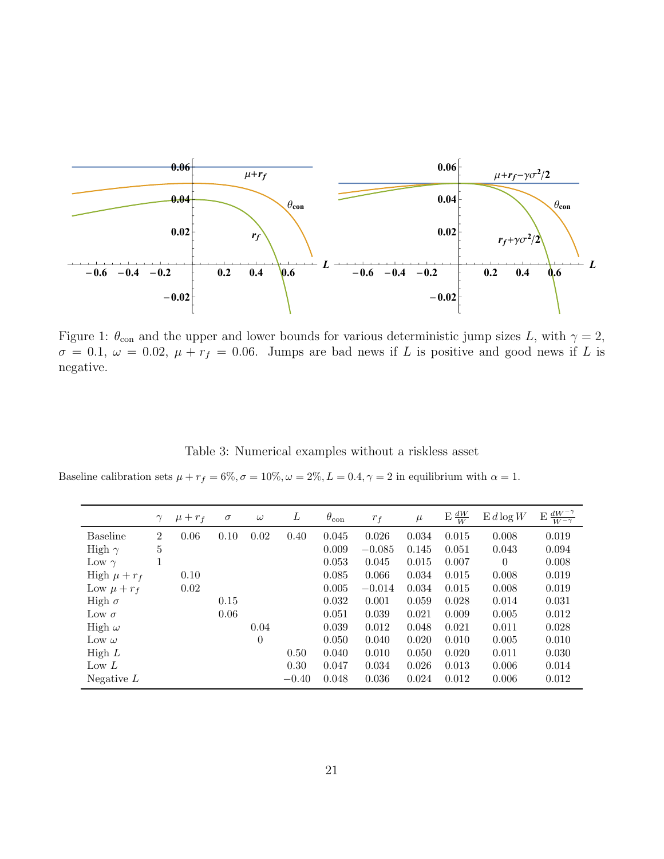

Figure 1:  $\theta_{\text{con}}$  and the upper and lower bounds for various deterministic jump sizes L, with  $\gamma = 2$ ,  $\sigma = 0.1, \ \omega = 0.02, \ \mu + r_f = 0.06.$  Jumps are bad news if L is positive and good news if L is negative.

Table 3: Numerical examples without a riskless asset

Baseline calibration sets  $\mu + r_f = 6\%, \sigma = 10\%, \omega = 2\%, L = 0.4, \gamma = 2$  in equilibrium with  $\alpha = 1$ .

|                  | $\gamma$       | $\mu + r_f$ | $\sigma$ | $\omega$ | L       | $\theta_{\rm con}$ | $r_f$    | $\mu$ | $E \frac{dW}{W}$ | $E d \log W$ | $\frac{dW^{-\gamma}}{W^{-\gamma}}$<br>E |
|------------------|----------------|-------------|----------|----------|---------|--------------------|----------|-------|------------------|--------------|-----------------------------------------|
| <b>Baseline</b>  | $\overline{2}$ | 0.06        | 0.10     | 0.02     | 0.40    | 0.045              | 0.026    | 0.034 | 0.015            | 0.008        | 0.019                                   |
| High $\gamma$    | 5              |             |          |          |         | 0.009              | $-0.085$ | 0.145 | 0.051            | 0.043        | 0.094                                   |
| Low $\gamma$     |                |             |          |          |         | 0.053              | 0.045    | 0.015 | 0.007            | $\theta$     | 0.008                                   |
| High $\mu + r_f$ |                | 0.10        |          |          |         | 0.085              | 0.066    | 0.034 | 0.015            | 0.008        | 0.019                                   |
| Low $\mu + r_f$  |                | 0.02        |          |          |         | 0.005              | $-0.014$ | 0.034 | 0.015            | 0.008        | 0.019                                   |
| High $\sigma$    |                |             | 0.15     |          |         | 0.032              | 0.001    | 0.059 | 0.028            | 0.014        | 0.031                                   |
| Low $\sigma$     |                |             | 0.06     |          |         | 0.051              | 0.039    | 0.021 | 0.009            | 0.005        | 0.012                                   |
| High $\omega$    |                |             |          | 0.04     |         | 0.039              | 0.012    | 0.048 | 0.021            | 0.011        | 0.028                                   |
| Low $\omega$     |                |             |          | $\Omega$ |         | 0.050              | 0.040    | 0.020 | 0.010            | 0.005        | 0.010                                   |
| High $L$         |                |             |          |          | 0.50    | 0.040              | 0.010    | 0.050 | 0.020            | 0.011        | 0.030                                   |
| Low $L$          |                |             |          |          | 0.30    | 0.047              | 0.034    | 0.026 | 0.013            | 0.006        | 0.014                                   |
| Negative $L$     |                |             |          |          | $-0.40$ | 0.048              | 0.036    | 0.024 | 0.012            | 0.006        | 0.012                                   |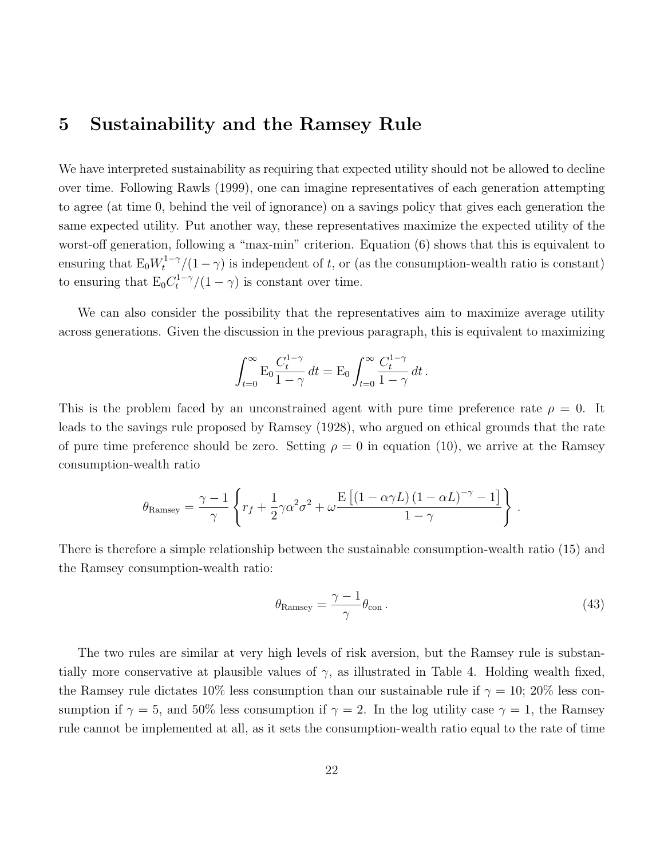### 5 Sustainability and the Ramsey Rule

We have interpreted sustainability as requiring that expected utility should not be allowed to decline over time. Following Rawls (1999), one can imagine representatives of each generation attempting to agree (at time 0, behind the veil of ignorance) on a savings policy that gives each generation the same expected utility. Put another way, these representatives maximize the expected utility of the worst-off generation, following a "max-min" criterion. Equation (6) shows that this is equivalent to ensuring that  $E_0 W_t^{1-\gamma}/(1-\gamma)$  is independent of t, or (as the consumption-wealth ratio is constant) to ensuring that  $E_0 C_t^{1-\gamma}/(1-\gamma)$  is constant over time.

We can also consider the possibility that the representatives aim to maximize average utility across generations. Given the discussion in the previous paragraph, this is equivalent to maximizing

$$
\int_{t=0}^{\infty} \mathcal{E}_0 \frac{C_t^{1-\gamma}}{1-\gamma} dt = \mathcal{E}_0 \int_{t=0}^{\infty} \frac{C_t^{1-\gamma}}{1-\gamma} dt.
$$

This is the problem faced by an unconstrained agent with pure time preference rate  $\rho = 0$ . It leads to the savings rule proposed by Ramsey (1928), who argued on ethical grounds that the rate of pure time preference should be zero. Setting  $\rho = 0$  in equation (10), we arrive at the Ramsey consumption-wealth ratio

$$
\theta_{\text{Ramsey}} = \frac{\gamma - 1}{\gamma} \left\{ r_f + \frac{1}{2} \gamma \alpha^2 \sigma^2 + \omega \frac{\text{E}\left[ (1 - \alpha \gamma L) (1 - \alpha L)^{-\gamma} - 1 \right]}{1 - \gamma} \right\}.
$$

There is therefore a simple relationship between the sustainable consumption-wealth ratio (15) and the Ramsey consumption-wealth ratio:

$$
\theta_{\text{Ramsey}} = \frac{\gamma - 1}{\gamma} \theta_{\text{con}} \,. \tag{43}
$$

The two rules are similar at very high levels of risk aversion, but the Ramsey rule is substantially more conservative at plausible values of  $\gamma$ , as illustrated in Table 4. Holding wealth fixed, the Ramsey rule dictates 10% less consumption than our sustainable rule if  $\gamma = 10$ ; 20% less consumption if  $\gamma = 5$ , and 50% less consumption if  $\gamma = 2$ . In the log utility case  $\gamma = 1$ , the Ramsey rule cannot be implemented at all, as it sets the consumption-wealth ratio equal to the rate of time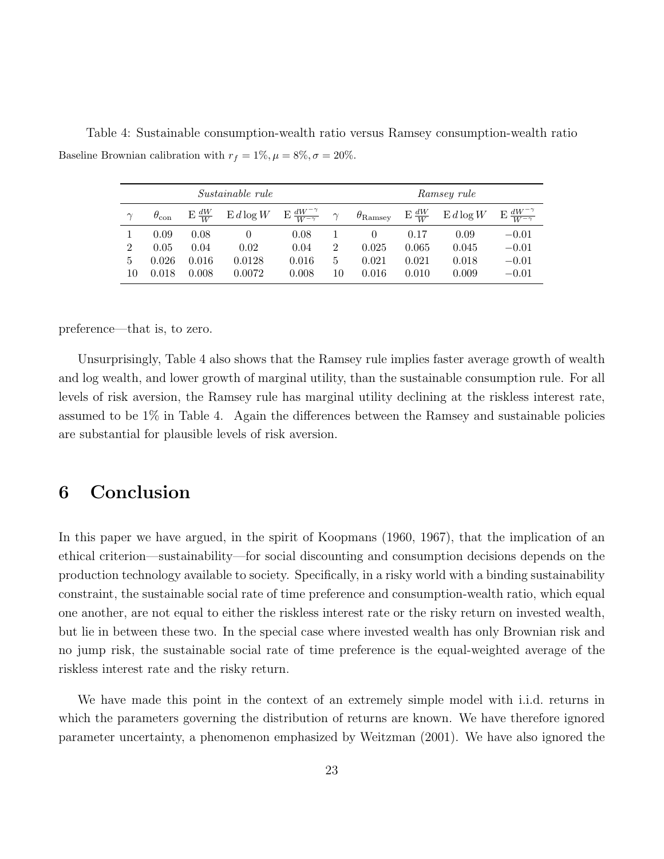Baseline Brownian calibration with  $r_f = 1\%, \mu = 8\%, \sigma = 20\%.$ 

Table 4: Sustainable consumption-wealth ratio versus Ramsey consumption-wealth ratio

|                |                    |       | <i>Sustainable rule</i>                                                  | Ramsey rule |                |                       |       |                                                                 |         |
|----------------|--------------------|-------|--------------------------------------------------------------------------|-------------|----------------|-----------------------|-------|-----------------------------------------------------------------|---------|
| $\gamma$       | $\theta_{\rm con}$ |       | $E\frac{dW}{W}$ $E d\log W$ $E\frac{dW^{-\gamma}}{W^{-\gamma}}$ $\gamma$ |             |                | $\theta_{\rm Ramsey}$ |       | $E\frac{dW}{W}$ $E d\log W$ $E\frac{dW^{-\gamma}}{W^{-\gamma}}$ |         |
|                | 0.09               | 0.08  |                                                                          | 0.08        |                |                       | 0.17  | 0.09                                                            | $-0.01$ |
| $\overline{2}$ | 0.05               | 0.04  | 0.02                                                                     | 0.04        | $\overline{2}$ | 0.025                 | 0.065 | 0.045                                                           | $-0.01$ |
| 5              | 0.026              | 0.016 | 0.0128                                                                   | 0.016       | 5              | 0.021                 | 0.021 | 0.018                                                           | $-0.01$ |
| 10             | 0.018              | 0.008 | 0.0072                                                                   | 0.008       | 10             | 0.016                 | 0.010 | 0.009                                                           | $-0.01$ |

preference—that is, to zero.

Unsurprisingly, Table 4 also shows that the Ramsey rule implies faster average growth of wealth and log wealth, and lower growth of marginal utility, than the sustainable consumption rule. For all levels of risk aversion, the Ramsey rule has marginal utility declining at the riskless interest rate, assumed to be 1% in Table 4. Again the differences between the Ramsey and sustainable policies are substantial for plausible levels of risk aversion.

## 6 Conclusion

In this paper we have argued, in the spirit of Koopmans (1960, 1967), that the implication of an ethical criterion—sustainability—for social discounting and consumption decisions depends on the production technology available to society. Specifically, in a risky world with a binding sustainability constraint, the sustainable social rate of time preference and consumption-wealth ratio, which equal one another, are not equal to either the riskless interest rate or the risky return on invested wealth, but lie in between these two. In the special case where invested wealth has only Brownian risk and no jump risk, the sustainable social rate of time preference is the equal-weighted average of the riskless interest rate and the risky return.

We have made this point in the context of an extremely simple model with i.i.d. returns in which the parameters governing the distribution of returns are known. We have therefore ignored parameter uncertainty, a phenomenon emphasized by Weitzman (2001). We have also ignored the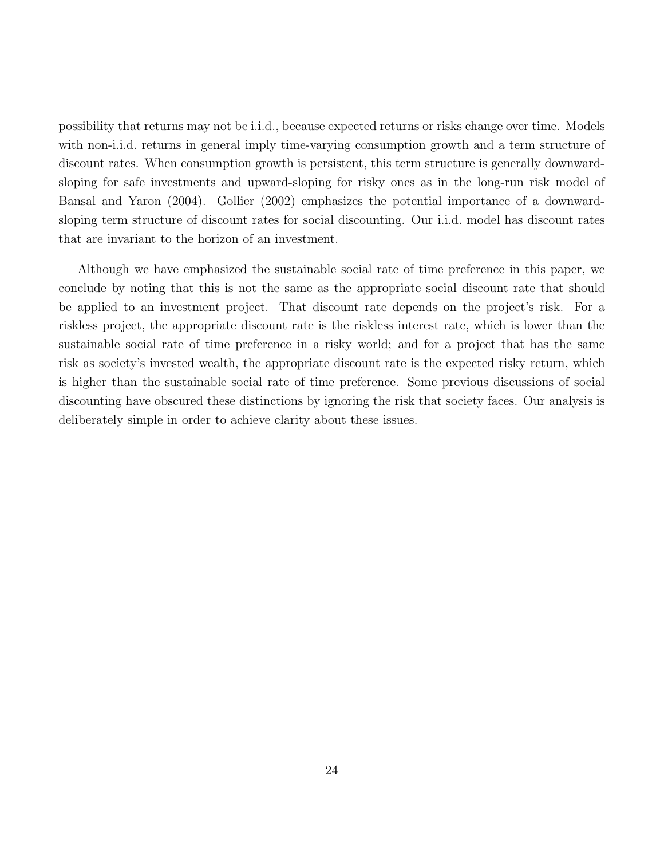possibility that returns may not be i.i.d., because expected returns or risks change over time. Models with non-i.i.d. returns in general imply time-varying consumption growth and a term structure of discount rates. When consumption growth is persistent, this term structure is generally downwardsloping for safe investments and upward-sloping for risky ones as in the long-run risk model of Bansal and Yaron (2004). Gollier (2002) emphasizes the potential importance of a downwardsloping term structure of discount rates for social discounting. Our i.i.d. model has discount rates that are invariant to the horizon of an investment.

Although we have emphasized the sustainable social rate of time preference in this paper, we conclude by noting that this is not the same as the appropriate social discount rate that should be applied to an investment project. That discount rate depends on the project's risk. For a riskless project, the appropriate discount rate is the riskless interest rate, which is lower than the sustainable social rate of time preference in a risky world; and for a project that has the same risk as society's invested wealth, the appropriate discount rate is the expected risky return, which is higher than the sustainable social rate of time preference. Some previous discussions of social discounting have obscured these distinctions by ignoring the risk that society faces. Our analysis is deliberately simple in order to achieve clarity about these issues.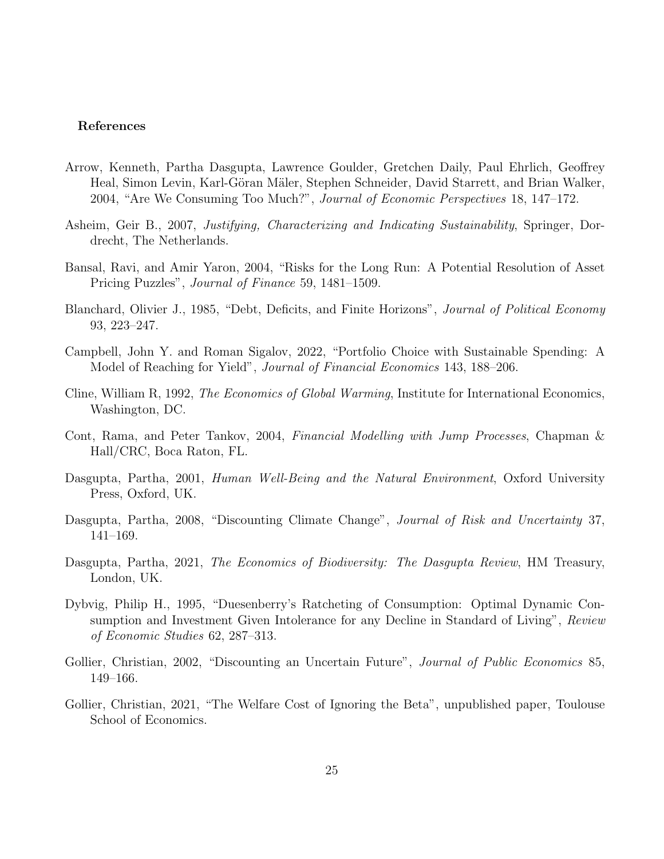#### References

- Arrow, Kenneth, Partha Dasgupta, Lawrence Goulder, Gretchen Daily, Paul Ehrlich, Geoffrey Heal, Simon Levin, Karl-Göran Mäler, Stephen Schneider, David Starrett, and Brian Walker, 2004, "Are We Consuming Too Much?", Journal of Economic Perspectives 18, 147–172.
- Asheim, Geir B., 2007, Justifying, Characterizing and Indicating Sustainability, Springer, Dordrecht, The Netherlands.
- Bansal, Ravi, and Amir Yaron, 2004, "Risks for the Long Run: A Potential Resolution of Asset Pricing Puzzles", Journal of Finance 59, 1481–1509.
- Blanchard, Olivier J., 1985, "Debt, Deficits, and Finite Horizons", Journal of Political Economy 93, 223–247.
- Campbell, John Y. and Roman Sigalov, 2022, "Portfolio Choice with Sustainable Spending: A Model of Reaching for Yield", *Journal of Financial Economics* 143, 188–206.
- Cline, William R, 1992, The Economics of Global Warming, Institute for International Economics, Washington, DC.
- Cont, Rama, and Peter Tankov, 2004, Financial Modelling with Jump Processes, Chapman & Hall/CRC, Boca Raton, FL.
- Dasgupta, Partha, 2001, Human Well-Being and the Natural Environment, Oxford University Press, Oxford, UK.
- Dasgupta, Partha, 2008, "Discounting Climate Change", Journal of Risk and Uncertainty 37, 141–169.
- Dasgupta, Partha, 2021, The Economics of Biodiversity: The Dasgupta Review, HM Treasury, London, UK.
- Dybvig, Philip H., 1995, "Duesenberry's Ratcheting of Consumption: Optimal Dynamic Consumption and Investment Given Intolerance for any Decline in Standard of Living", Review of Economic Studies 62, 287–313.
- Gollier, Christian, 2002, "Discounting an Uncertain Future", *Journal of Public Economics* 85, 149–166.
- Gollier, Christian, 2021, "The Welfare Cost of Ignoring the Beta", unpublished paper, Toulouse School of Economics.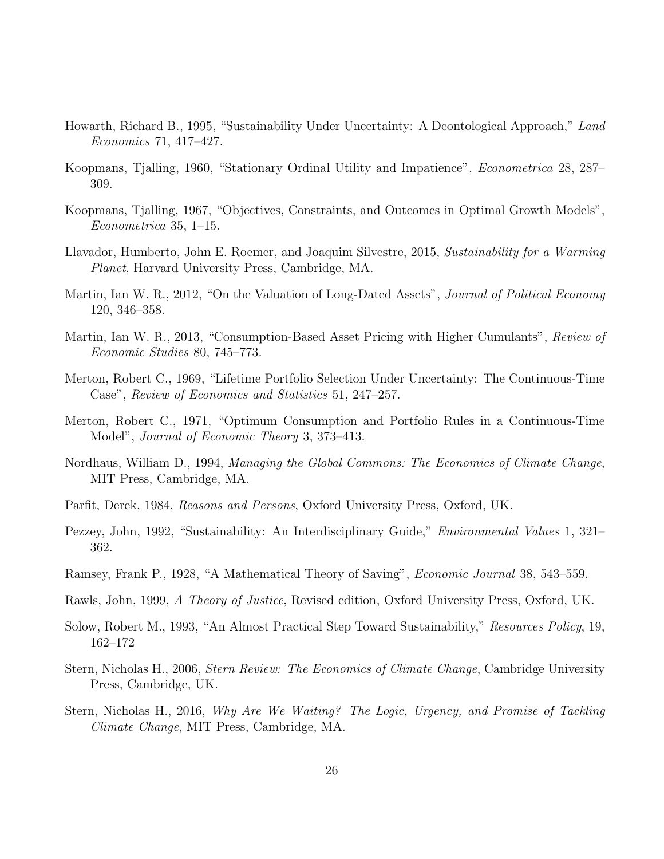- Howarth, Richard B., 1995, "Sustainability Under Uncertainty: A Deontological Approach," Land Economics 71, 417–427.
- Koopmans, Tjalling, 1960, "Stationary Ordinal Utility and Impatience", Econometrica 28, 287– 309.
- Koopmans, Tjalling, 1967, "Objectives, Constraints, and Outcomes in Optimal Growth Models", Econometrica 35, 1–15.
- Llavador, Humberto, John E. Roemer, and Joaquim Silvestre, 2015, Sustainability for a Warming Planet, Harvard University Press, Cambridge, MA.
- Martin, Ian W. R., 2012, "On the Valuation of Long-Dated Assets", *Journal of Political Economy* 120, 346–358.
- Martin, Ian W. R., 2013, "Consumption-Based Asset Pricing with Higher Cumulants", Review of Economic Studies 80, 745–773.
- Merton, Robert C., 1969, "Lifetime Portfolio Selection Under Uncertainty: The Continuous-Time Case", Review of Economics and Statistics 51, 247–257.
- Merton, Robert C., 1971, "Optimum Consumption and Portfolio Rules in a Continuous-Time Model", Journal of Economic Theory 3, 373–413.
- Nordhaus, William D., 1994, Managing the Global Commons: The Economics of Climate Change, MIT Press, Cambridge, MA.
- Parfit, Derek, 1984, Reasons and Persons, Oxford University Press, Oxford, UK.
- Pezzey, John, 1992, "Sustainability: An Interdisciplinary Guide," Environmental Values 1, 321– 362.
- Ramsey, Frank P., 1928, "A Mathematical Theory of Saving", Economic Journal 38, 543–559.
- Rawls, John, 1999, A Theory of Justice, Revised edition, Oxford University Press, Oxford, UK.
- Solow, Robert M., 1993, "An Almost Practical Step Toward Sustainability," Resources Policy, 19, 162–172
- Stern, Nicholas H., 2006, Stern Review: The Economics of Climate Change, Cambridge University Press, Cambridge, UK.
- Stern, Nicholas H., 2016, Why Are We Waiting? The Logic, Urgency, and Promise of Tackling Climate Change, MIT Press, Cambridge, MA.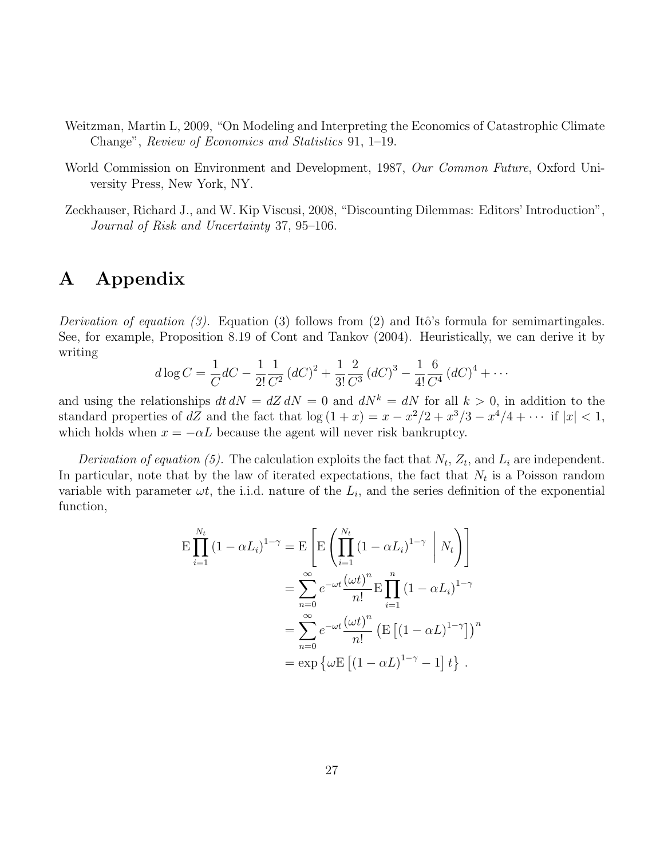- Weitzman, Martin L, 2009, "On Modeling and Interpreting the Economics of Catastrophic Climate Change", Review of Economics and Statistics 91, 1–19.
- World Commission on Environment and Development, 1987, Our Common Future, Oxford University Press, New York, NY.
- Zeckhauser, Richard J., and W. Kip Viscusi, 2008, "Discounting Dilemmas: Editors' Introduction", Journal of Risk and Uncertainty 37, 95–106.

## A Appendix

Derivation of equation (3). Equation (3) follows from (2) and Itô's formula for semimartingales. See, for example, Proposition 8.19 of Cont and Tankov (2004). Heuristically, we can derive it by writing

$$
d \log C = \frac{1}{C} dC - \frac{1}{2!} \frac{1}{C^2} (dC)^2 + \frac{1}{3!} \frac{2}{C^3} (dC)^3 - \frac{1}{4!} \frac{6}{C^4} (dC)^4 + \cdots
$$

and using the relationships  $dt dN = dZ dN = 0$  and  $dN^k = dN$  for all  $k > 0$ , in addition to the standard properties of dZ and the fact that  $\log(1+x) = x - x^2/2 + x^3/3 - x^4/4 + \cdots$  if  $|x| < 1$ , which holds when  $x = -\alpha L$  because the agent will never risk bankruptcy.

Derivation of equation (5). The calculation exploits the fact that  $N_t$ ,  $Z_t$ , and  $L_i$  are independent. In particular, note that by the law of iterated expectations, the fact that  $N_t$  is a Poisson random variable with parameter  $\omega t$ , the i.i.d. nature of the  $L_i$ , and the series definition of the exponential function,

$$
\begin{split} \mathcal{E} \prod_{i=1}^{N_t} \left(1 - \alpha L_i\right)^{1-\gamma} &= \mathcal{E} \left[ \mathcal{E} \left( \prod_{i=1}^{N_t} \left(1 - \alpha L_i\right)^{1-\gamma} \middle| N_t \right) \right] \\ &= \sum_{n=0}^{\infty} e^{-\omega t} \frac{\left(\omega t\right)^n}{n!} \mathcal{E} \prod_{i=1}^n \left(1 - \alpha L_i\right)^{1-\gamma} \\ &= \sum_{n=0}^{\infty} e^{-\omega t} \frac{\left(\omega t\right)^n}{n!} \left( \mathcal{E} \left[ \left(1 - \alpha L\right)^{1-\gamma} \right] \right)^n \\ &= \exp \left\{ \omega \mathcal{E} \left[ \left(1 - \alpha L\right)^{1-\gamma} - 1 \right] t \right\} \,. \end{split}
$$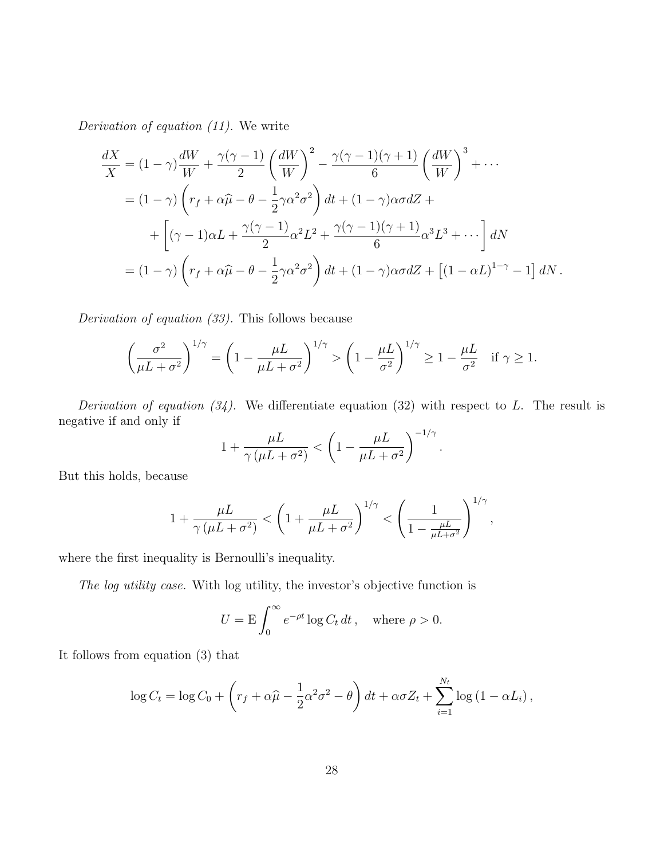Derivation of equation (11). We write

$$
\frac{dX}{X} = (1 - \gamma) \frac{dW}{W} + \frac{\gamma(\gamma - 1)}{2} \left(\frac{dW}{W}\right)^2 - \frac{\gamma(\gamma - 1)(\gamma + 1)}{6} \left(\frac{dW}{W}\right)^3 + \cdots
$$

$$
= (1 - \gamma) \left(r_f + \alpha \hat{\mu} - \theta - \frac{1}{2} \gamma \alpha^2 \sigma^2\right) dt + (1 - \gamma) \alpha \sigma dZ + \left[ (\gamma - 1) \alpha L + \frac{\gamma(\gamma - 1)}{2} \alpha^2 L^2 + \frac{\gamma(\gamma - 1)(\gamma + 1)}{6} \alpha^3 L^3 + \cdots \right] dN
$$

$$
= (1 - \gamma) \left(r_f + \alpha \hat{\mu} - \theta - \frac{1}{2} \gamma \alpha^2 \sigma^2\right) dt + (1 - \gamma) \alpha \sigma dZ + \left[ (1 - \alpha L)^{1 - \gamma} - 1 \right] dN.
$$

Derivation of equation (33). This follows because

$$
\left(\frac{\sigma^2}{\mu L + \sigma^2}\right)^{1/\gamma} = \left(1 - \frac{\mu L}{\mu L + \sigma^2}\right)^{1/\gamma} > \left(1 - \frac{\mu L}{\sigma^2}\right)^{1/\gamma} \ge 1 - \frac{\mu L}{\sigma^2} \quad \text{if } \gamma \ge 1.
$$

Derivation of equation  $(34)$ . We differentiate equation  $(32)$  with respect to L. The result is negative if and only if

$$
1 + \frac{\mu L}{\gamma (\mu L + \sigma^2)} < \left( 1 - \frac{\mu L}{\mu L + \sigma^2} \right)^{-1/\gamma}.
$$

But this holds, because

$$
1+\frac{\mu L}{\gamma\left(\mu L+\sigma^2\right)}<\left(1+\frac{\mu L}{\mu L+\sigma^2}\right)^{1/\gamma}<\left(\frac{1}{1-\frac{\mu L}{\mu L+\sigma^2}}\right)^{1/\gamma},
$$

where the first inequality is Bernoulli's inequality.

The log utility case. With log utility, the investor's objective function is

$$
U = \mathcal{E} \int_0^\infty e^{-\rho t} \log C_t \, dt \,, \quad \text{where } \rho > 0.
$$

It follows from equation (3) that

$$
\log C_t = \log C_0 + \left(r_f + \alpha \widehat{\mu} - \frac{1}{2}\alpha^2 \sigma^2 - \theta\right) dt + \alpha \sigma Z_t + \sum_{i=1}^{N_t} \log \left(1 - \alpha L_i\right),
$$